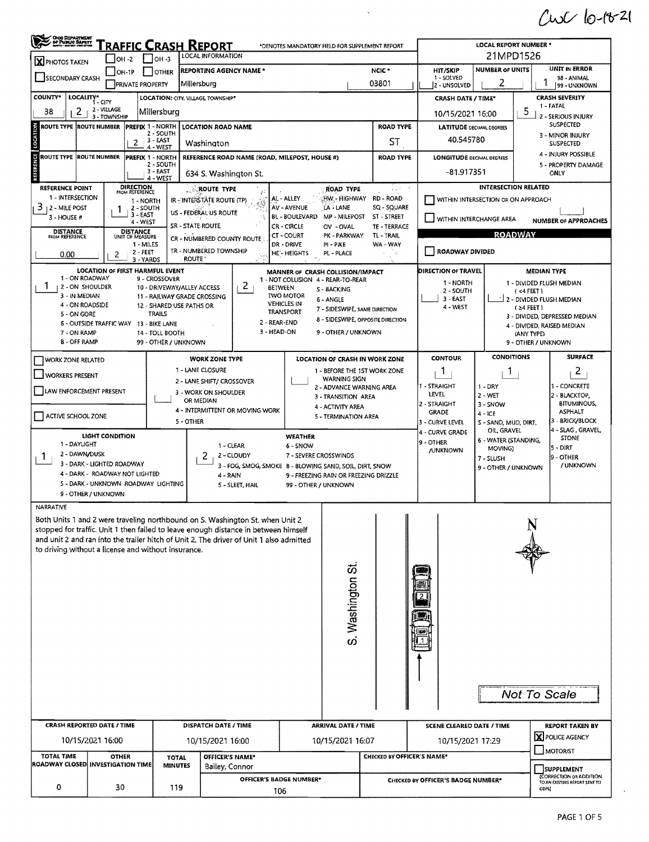$C + C - C - C - 2C$ 

| <b>Cho Department</b>                                                                                                                                                          |                                                            |                              |                                | Traffic Crash Report                             |                                   |                                                                                  |                      | *DENOTES MANDATORY FIELD FOR SUPPLEMENT REPORT                     |                                                                     |                                                 | <b>LOCAL REPORT NUMBER *</b>                                   |                                    |                                 |  |  |  |  |  |  |  |  |  |
|--------------------------------------------------------------------------------------------------------------------------------------------------------------------------------|------------------------------------------------------------|------------------------------|--------------------------------|--------------------------------------------------|-----------------------------------|----------------------------------------------------------------------------------|----------------------|--------------------------------------------------------------------|---------------------------------------------------------------------|-------------------------------------------------|----------------------------------------------------------------|------------------------------------|---------------------------------|--|--|--|--|--|--|--|--|--|
| X PHOTOS TAKEN                                                                                                                                                                 |                                                            | $IOH -2$                     | $ $ OH -3                      | LOCAL INFORMATION                                |                                   |                                                                                  |                      |                                                                    |                                                                     |                                                 | 21MPD1526                                                      |                                    |                                 |  |  |  |  |  |  |  |  |  |
| SECONDARY CRASH                                                                                                                                                                |                                                            | $OH-1P$                      | I IOTHER                       |                                                  | <b>REPORTING AGENCY NAME *</b>    |                                                                                  |                      |                                                                    | NCIC*                                                               | HIT/SKIP<br>1 - SOLVED                          | <b>NUMBER OF UNITS</b><br>2                                    |                                    | UNIT IN ERROR<br>98 - ANIMAL    |  |  |  |  |  |  |  |  |  |
| <b>COUNTY*</b>                                                                                                                                                                 |                                                            | <b>PRIVATE PROPERTY</b>      |                                | Millersburg<br>LOCATION: CITY, VILLAGE TOWNSHIP* |                                   |                                                                                  |                      |                                                                    | 03801                                                               | l2 - unsolved<br><b>CRASH DATE / TIME*</b>      | 99 - UNKNOWN<br><b>CRASH SEVERITY</b>                          |                                    |                                 |  |  |  |  |  |  |  |  |  |
| 38<br>2 <sub>1</sub>                                                                                                                                                           | LOCALITY*<br>2 - VILLAGE<br>3 - TOWNSHIP                   |                              | Millersburg                    |                                                  |                                   |                                                                                  |                      |                                                                    |                                                                     | 10/15/2021 16:00                                |                                                                | 5                                  | 1 - FATAL<br>2 - SERIOUS INJURY |  |  |  |  |  |  |  |  |  |
| <b>ROUTE TYPE IROUTE NUMBER</b>                                                                                                                                                |                                                            | <b>PREFIX 1 - NORTH</b>      |                                | <b>LOCATION ROAD NAME</b>                        |                                   |                                                                                  |                      |                                                                    | <b>ROAD TYPE</b>                                                    |                                                 | <b>LATITUDE DECIMAL DEGREES</b>                                |                                    | SUSPECTED                       |  |  |  |  |  |  |  |  |  |
| 2 - SOUTH<br>$3 - EAST$<br>$\mathbf{2}$<br>Washington<br>4 - WEST                                                                                                              |                                                            |                              |                                |                                                  |                                   |                                                                                  |                      |                                                                    | ST                                                                  |                                                 | 3 - MINOR INJURY<br>40.545780<br><b>SUSPECTED</b>              |                                    |                                 |  |  |  |  |  |  |  |  |  |
| ÿ<br><b>ROUTE TYPE ROUTE NUMBER</b><br>PREFIX 1 - NORTH<br>REFERENCE ROAD NAME (ROAD, MILEPOST, HOUSE #)<br>2 - SOUTH<br>$3 - EAST$<br>634 S. Washington St.                   |                                                            |                              |                                |                                                  |                                   |                                                                                  |                      |                                                                    | <b>ROAD TYPE</b>                                                    | <b>LONGITUDE DECIMAL DEGREES</b><br>-81.917351  | 4 - INJURY POSSIBLE<br>5 - PROPERTY DAMAGE<br>ONLY             |                                    |                                 |  |  |  |  |  |  |  |  |  |
| <b>REFERENCE POINT</b>                                                                                                                                                         |                                                            | DIRECTION                    | 4 - WEST                       | <b>ROUTE TYPE</b>                                |                                   |                                                                                  |                      | ROAD TYPE                                                          | $\mathbf{z} \cdot \mathbf{z}^{(n)}$ , $\mathbf{z} \in \mathbb{R}^n$ |                                                 | <b>INTERSECTION RELATED</b>                                    |                                    |                                 |  |  |  |  |  |  |  |  |  |
| 1 - INTERSECTION                                                                                                                                                               |                                                            | FROM REFERENCE<br>1 - NORTH  |                                | IR - INTERSTATE ROUTE (TP)                       |                                   | AL - ALLEY                                                                       |                      | HW - HIGHWAY                                                       | <b>RD - ROAD</b>                                                    |                                                 | WITHIN INTERSECTION OR ON APPROACH                             |                                    |                                 |  |  |  |  |  |  |  |  |  |
| 3<br><b>12 - MILE POST</b><br>3 - HOUSE #                                                                                                                                      |                                                            | 2 - SOUTH<br>3 - EAST        |                                | US - FEDERAL US ROUTE                            |                                   | AV - AVENUE<br>BL - BOULEVARD                                                    |                      | LA - LANE<br>MP - MILEPOST                                         | SQ - SQUARE<br>ST - STREET                                          | WITHIN INTERCHANGE AREA                         |                                                                |                                    |                                 |  |  |  |  |  |  |  |  |  |
| <b>DISTANCE</b>                                                                                                                                                                |                                                            | 4 - WEST<br><b>DISTANCE</b>  |                                | SR - STATE ROUTE                                 |                                   | <b>CR - CIRCLE</b>                                                               |                      | OV - OVAL                                                          | TE - TERRACE                                                        |                                                 |                                                                |                                    | <b>NUMBER OF APPROACHES</b>     |  |  |  |  |  |  |  |  |  |
| <b>FROM REFERENCE</b>                                                                                                                                                          |                                                            | UNIT OF MEASURE<br>1 - MILES |                                |                                                  | CR - NUMBERED COUNTY ROUTE        | <b>CT - COURT</b><br>DR - DRIVE                                                  |                      | PK - PARKWAY<br>PI - PIKE                                          | TL-TRAIL<br>WA-WAY                                                  |                                                 |                                                                | <b>ROADWAY</b>                     |                                 |  |  |  |  |  |  |  |  |  |
| 0.00                                                                                                                                                                           | 2                                                          | $2 - FEET$<br>3 - YARDS      |                                | TR - NUMBERED TOWNSHIP<br><b>ROUTE</b>           |                                   | HE'-HEIGHTS                                                                      |                      | PL - PLACE                                                         |                                                                     | <b>ROADWAY DIVIDED</b>                          |                                                                |                                    |                                 |  |  |  |  |  |  |  |  |  |
| 1 - ON ROADWAY                                                                                                                                                                 | LOCATION OF FIRST HARMFUL EVENT                            |                              |                                |                                                  |                                   |                                                                                  |                      | MANNER OF CRASH COLLISION/IMPACT                                   |                                                                     | DIRECTION OF TRAVEL                             |                                                                |                                    | <b>MEDIAN TYPE</b>              |  |  |  |  |  |  |  |  |  |
| Ŧ<br>12 - ON SHOULDER                                                                                                                                                          |                                                            |                              | 9 - CROSSOVER                  | 10 - DRIVEWAY/ALLEY ACCESS                       | 2                                 | <b>BETWEEN</b>                                                                   |                      | 1 - NOT COLLISION 4 - REAR-TO-REAR<br>S - BACKING                  |                                                                     | 1 - NORTH<br>2 - SOUTH                          |                                                                | $( < 4$ FEET)                      | 1 - DIVIDED FLUSH MEDIAN        |  |  |  |  |  |  |  |  |  |
| 3 - IN MEDIAN<br>4 - ON ROADSIDE                                                                                                                                               |                                                            |                              | 12 - SHARED USE PATHS OR       | 11 - RAILWAY GRADE CROSSING                      |                                   | <b>TWO MOTOR</b><br><b>VEHICLES IN</b>                                           |                      | 6 - ANGLE                                                          |                                                                     | 3 - EAST<br>4 WEST                              | 그 2 - DIVIDED FLUSH MEDIAN                                     |                                    |                                 |  |  |  |  |  |  |  |  |  |
| 5 - ON GORE                                                                                                                                                                    |                                                            |                              | <b>TRAILS</b>                  |                                                  |                                   | <b>TRANSPORT</b>                                                                 |                      | 7 - SIDESWIPE, SAME DIRECTION<br>8 - SIDESWIPE, OPPOSITE DIRECTION |                                                                     |                                                 |                                                                | $(24$ FEET)                        | 3 - DIVIDED, DEPRESSED MEDIAN   |  |  |  |  |  |  |  |  |  |
| 7 - ON RAMP                                                                                                                                                                    | 6 - OUTSIDE TRAFFIC WAY 13 - BIKE LANE                     |                              | 14 - TOLL BOOTH                |                                                  |                                   | 2 - REAR-END<br>3 - HEAD-ON                                                      |                      | 9 - OTHER / UNKNOWN                                                |                                                                     | 4 - DIVIDED, RAISED MEDIAN<br><b>IANY TYPE)</b> |                                                                |                                    |                                 |  |  |  |  |  |  |  |  |  |
| <b>B-OFF RAMP</b>                                                                                                                                                              |                                                            |                              | 99 - OTHER / UNKNOWN           |                                                  |                                   |                                                                                  |                      |                                                                    |                                                                     |                                                 |                                                                |                                    | 9 - OTHER / UNKNOWN             |  |  |  |  |  |  |  |  |  |
| <b>WORK ZONE RELATED</b>                                                                                                                                                       |                                                            |                              |                                | <b>WORK ZONE TYPE</b>                            |                                   |                                                                                  |                      | LOCATION OF CRASH IN WORK ZONE                                     |                                                                     | <b>CONTOUR</b>                                  | <b>CONDITIONS</b>                                              |                                    | <b>SURFACE</b>                  |  |  |  |  |  |  |  |  |  |
| <b>WORKERS PRESENT</b>                                                                                                                                                         |                                                            |                              |                                | 1 - LANE CLOSURE<br>2 - LANE SHIFT/ CROSSOVER    |                                   |                                                                                  |                      | 1 - BEFORE THE 1ST WORK ZONE<br><b>WARNING SIGN</b>                |                                                                     | 1                                               | L                                                              |                                    | $\overline{2}$                  |  |  |  |  |  |  |  |  |  |
| LAW ENFORCEMENT PRESENT                                                                                                                                                        |                                                            |                              |                                | 3 - WORK ON SHOULDER                             |                                   |                                                                                  |                      | 2 - ADVANCE WARNING AREA                                           |                                                                     | 1 - STRAIGHT<br>LEVEL                           | $1 - DRY$<br>$2 - WET$                                         | 1 - CONCRETE<br>2 - BLACKTOP,      |                                 |  |  |  |  |  |  |  |  |  |
|                                                                                                                                                                                |                                                            |                              |                                | OR MEDIAN                                        |                                   |                                                                                  |                      | 3 - TRANSITION AREA<br>4 - ACTIVITY AREA                           |                                                                     | 2 - STRAIGHT                                    | 3 - SNOW                                                       |                                    | <b>BITUMINOUS,</b>              |  |  |  |  |  |  |  |  |  |
| 4 - INTERMITTENT OR MOVING WORK<br>ACTIVE SCHOOL ZONE<br>5 - OTHER                                                                                                             |                                                            |                              |                                |                                                  |                                   |                                                                                  | 5 - TERMINATION AREA |                                                                    | <b>GRADE</b><br>3 - CURVE LEVEL                                     | 4 - ICE<br>S - SAND, MUD, DIRT,                 |                                                                | <b>ASPHALT</b><br>3 - BRICK/BLOCK  |                                 |  |  |  |  |  |  |  |  |  |
|                                                                                                                                                                                | LIGHT CONDITION                                            |                              |                                |                                                  |                                   | <b>WEATHER</b>                                                                   |                      |                                                                    | 4 - CURVE GRADE                                                     | OIL, GRAVEL                                     |                                                                | 4 - SLAG , GRAVEL,<br><b>STONE</b> |                                 |  |  |  |  |  |  |  |  |  |
|                                                                                                                                                                                | 1 - DAYLIGHT<br>1 - CLEAR                                  |                              |                                |                                                  |                                   |                                                                                  | 6 - SNOW             |                                                                    |                                                                     | 9 - OTHER<br><b>/UNKNOWN</b>                    | 6 - WATER (STANDING,<br>MOVING)                                |                                    | 5 - DIRT                        |  |  |  |  |  |  |  |  |  |
| 2 - DAWN/DUSK<br>Ι.                                                                                                                                                            | 3 - DARK - LIGHTED ROADWAY                                 |                              |                                | 2                                                | 2 - CLOUDY                        | 7 - SEVERE CROSSWINDS<br>3 - FOG, SMOG, SMOKE 8 - BLOWING SAND, SOIL, DIRT, SNOW |                      |                                                                    |                                                                     |                                                 | 7 - SLUSH<br>9 - OTHER / UNKNOWN                               |                                    | 9 - OTHER<br>/ UNKNOWN          |  |  |  |  |  |  |  |  |  |
|                                                                                                                                                                                | 4 - DARK - ROADWAY NOT LIGHTED<br>4 - RAIN                 |                              |                                |                                                  |                                   |                                                                                  |                      | 9 - FREEZING RAIN OR FREEZING DRIZZLE                              |                                                                     |                                                 |                                                                |                                    |                                 |  |  |  |  |  |  |  |  |  |
|                                                                                                                                                                                | 5 - DARK - UNKNOWN ROADWAY LIGHTING<br>9 - OTHER / UNKNOWN |                              |                                |                                                  | 5 - SLEET, HAIL                   |                                                                                  |                      | 99 - OTHER / UNKNOWN                                               |                                                                     |                                                 |                                                                |                                    |                                 |  |  |  |  |  |  |  |  |  |
| NARRATIVE                                                                                                                                                                      |                                                            |                              |                                |                                                  |                                   |                                                                                  |                      |                                                                    |                                                                     |                                                 |                                                                |                                    |                                 |  |  |  |  |  |  |  |  |  |
| Both Units 1 and 2 were traveling northbound on S. Washington St. when Unit 2                                                                                                  |                                                            |                              |                                |                                                  |                                   |                                                                                  |                      |                                                                    |                                                                     |                                                 |                                                                |                                    |                                 |  |  |  |  |  |  |  |  |  |
| stopped for traffic. Unit 1 then failed to leave enough distance in between himself<br>and unit 2 and ran into the trailer hitch of Unit 2. The driver of Unit 1 also admitted |                                                            |                              |                                |                                                  |                                   |                                                                                  |                      |                                                                    |                                                                     |                                                 |                                                                |                                    |                                 |  |  |  |  |  |  |  |  |  |
| to driving without a license and without insurance.                                                                                                                            |                                                            |                              |                                |                                                  |                                   |                                                                                  |                      |                                                                    |                                                                     |                                                 |                                                                |                                    |                                 |  |  |  |  |  |  |  |  |  |
|                                                                                                                                                                                |                                                            |                              |                                |                                                  |                                   |                                                                                  |                      |                                                                    |                                                                     |                                                 |                                                                |                                    |                                 |  |  |  |  |  |  |  |  |  |
| S. Washington St                                                                                                                                                               |                                                            |                              |                                |                                                  |                                   |                                                                                  |                      |                                                                    |                                                                     |                                                 |                                                                |                                    |                                 |  |  |  |  |  |  |  |  |  |
|                                                                                                                                                                                |                                                            |                              |                                |                                                  |                                   |                                                                                  |                      |                                                                    |                                                                     |                                                 |                                                                |                                    |                                 |  |  |  |  |  |  |  |  |  |
|                                                                                                                                                                                |                                                            |                              |                                |                                                  |                                   |                                                                                  |                      |                                                                    |                                                                     |                                                 |                                                                |                                    |                                 |  |  |  |  |  |  |  |  |  |
|                                                                                                                                                                                |                                                            |                              |                                |                                                  |                                   |                                                                                  |                      |                                                                    |                                                                     |                                                 |                                                                |                                    |                                 |  |  |  |  |  |  |  |  |  |
|                                                                                                                                                                                |                                                            |                              |                                |                                                  |                                   |                                                                                  |                      |                                                                    |                                                                     |                                                 |                                                                |                                    |                                 |  |  |  |  |  |  |  |  |  |
|                                                                                                                                                                                |                                                            |                              |                                |                                                  |                                   |                                                                                  |                      |                                                                    |                                                                     |                                                 |                                                                |                                    |                                 |  |  |  |  |  |  |  |  |  |
|                                                                                                                                                                                |                                                            |                              |                                |                                                  |                                   |                                                                                  |                      |                                                                    |                                                                     |                                                 |                                                                |                                    | Not To Scale                    |  |  |  |  |  |  |  |  |  |
|                                                                                                                                                                                |                                                            |                              |                                |                                                  |                                   |                                                                                  |                      |                                                                    |                                                                     |                                                 |                                                                |                                    |                                 |  |  |  |  |  |  |  |  |  |
| <b>CRASH REPORTED DATE / TIME</b>                                                                                                                                              |                                                            |                              |                                | DISPATCH DATE / TIME                             |                                   |                                                                                  |                      | <b>ARRIVAL DATE / TIME</b>                                         |                                                                     | <b>SCENE CLEARED DATE / TIME</b>                |                                                                |                                    | <b>REPORT TAKEN BY</b>          |  |  |  |  |  |  |  |  |  |
|                                                                                                                                                                                | 10/15/2021 16:00                                           |                              |                                | 10/15/2021 16:00                                 |                                   |                                                                                  |                      | 10/15/2021 16:07                                                   |                                                                     | 10/15/2021 17:29                                |                                                                |                                    | X POLICE AGENCY                 |  |  |  |  |  |  |  |  |  |
| TOTAL TIME                                                                                                                                                                     | <b>OTHER</b>                                               |                              |                                |                                                  |                                   |                                                                                  |                      |                                                                    |                                                                     |                                                 |                                                                |                                    | MOTORIST                        |  |  |  |  |  |  |  |  |  |
| <b>ROADWAY CLOSED INVESTIGATION TIME</b>                                                                                                                                       |                                                            |                              | <b>TOTAL</b><br><b>MINUTES</b> |                                                  | OFFICER'S NAME*<br>Bailey, Connor |                                                                                  |                      |                                                                    | CHECKED BY OFFICER'S NAME*                                          |                                                 | SUPPLEMENT                                                     |                                    |                                 |  |  |  |  |  |  |  |  |  |
|                                                                                                                                                                                |                                                            |                              |                                |                                                  |                                   | OFFICER'S BADGE NUMBER*                                                          |                      |                                                                    |                                                                     | CHECKED BY OFFICER'S BADGE NUMBER*              | <b>CORRECTION OR ADDITION</b><br>TO AN EXISTING REPORT SENT TO |                                    |                                 |  |  |  |  |  |  |  |  |  |
| 0                                                                                                                                                                              | 30                                                         |                              | 119                            |                                                  |                                   | 106                                                                              |                      |                                                                    |                                                                     | ODPS)                                           |                                                                |                                    |                                 |  |  |  |  |  |  |  |  |  |
|                                                                                                                                                                                |                                                            |                              |                                |                                                  |                                   |                                                                                  |                      |                                                                    |                                                                     |                                                 |                                                                |                                    |                                 |  |  |  |  |  |  |  |  |  |

 $\Delta \phi$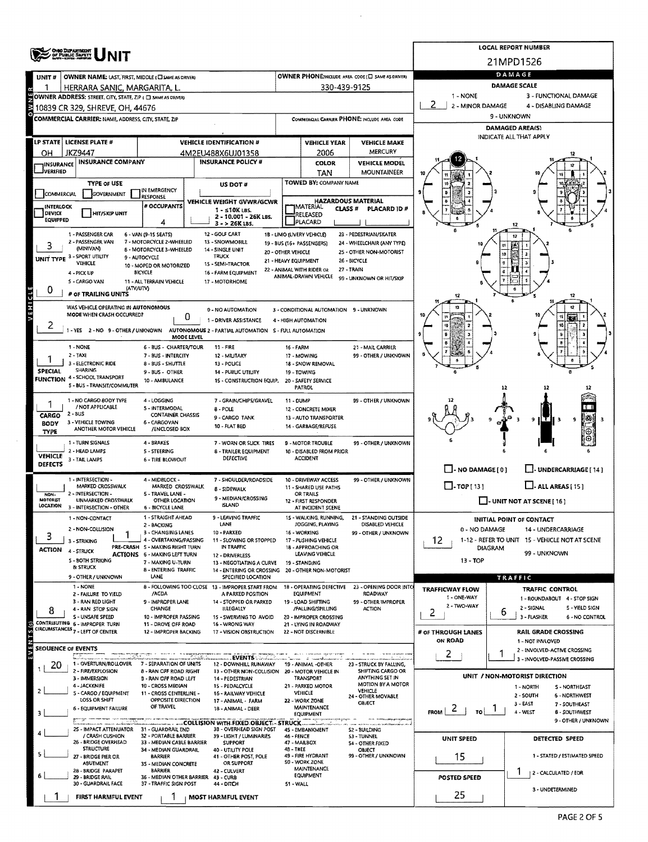|                             | <b>ONIO DEPARTMENT</b><br>OF PUBLIC BAPETT                         |                                                           |                                                                         |                      |                                               |                                                   |                                               | <b>LOCAL REPORT NUMBER</b>                                       |  |  |  |  |  |
|-----------------------------|--------------------------------------------------------------------|-----------------------------------------------------------|-------------------------------------------------------------------------|----------------------|-----------------------------------------------|---------------------------------------------------|-----------------------------------------------|------------------------------------------------------------------|--|--|--|--|--|
|                             |                                                                    |                                                           |                                                                         |                      |                                               |                                                   |                                               | 21MPD1526                                                        |  |  |  |  |  |
| UNIT#                       | <b>OWNER NAME: LAST, FIRST, MIDDLE (CI SAME AS DRIVER)</b>         |                                                           |                                                                         |                      |                                               | OWNER PHONE:INCLUDE AREA CODE (I) SAME AS DRIVER) | DAMAGE                                        |                                                                  |  |  |  |  |  |
|                             | HERRARA SANIC, MARGARITA, L                                        |                                                           |                                                                         |                      | 330-439-9125                                  |                                                   |                                               | <b>DAMAGE SCALE</b>                                              |  |  |  |  |  |
|                             | OWNER ADDRESS: STREET, CITY, STATE, ZIP ( C) SAME AS ORIVERY       |                                                           |                                                                         |                      |                                               |                                                   | 1 - NONE<br>3 - FUNCTIONAL DAMAGE             |                                                                  |  |  |  |  |  |
|                             | 10839 CR 329, SHREVE, OH, 44676                                    |                                                           |                                                                         |                      |                                               |                                                   | 2<br>2 - MINOR DAMAGE<br>4 - DISABLING DAMAGE |                                                                  |  |  |  |  |  |
|                             | COMMERCIAL CARRIER: NAME, ADDRESS, CITY, STATE, ZIP                |                                                           |                                                                         |                      |                                               | COMMERCIAL CARRIER PHONE: INCLUDE AREA CODE       | 9 - UNKNOWN                                   |                                                                  |  |  |  |  |  |
|                             |                                                                    |                                                           |                                                                         |                      |                                               |                                                   | <b>DAMAGED AREA(S)</b>                        |                                                                  |  |  |  |  |  |
|                             | LP STATE LICENSE PLATE #                                           |                                                           | <b>VEHICLE IDENTIFICATION #</b>                                         |                      | <b>VEHICLE YEAR</b>                           | <b>VEHICLE MAKE</b>                               | INDICATE ALL THAT APPLY                       |                                                                  |  |  |  |  |  |
| он                          | JKZ9447                                                            |                                                           | 4M2EU488X6UJ01358                                                       |                      | 2006                                          | <b>MERCURY</b>                                    |                                               |                                                                  |  |  |  |  |  |
| <b>IINSURANCE</b>           | <b>INSURANCE COMPANY</b>                                           |                                                           | <b>INSURANCE POLICY #</b>                                               |                      | <b>COLOR</b>                                  | <b>VEHICLE MODEL</b>                              |                                               |                                                                  |  |  |  |  |  |
| <b>J</b> VERIFIED           |                                                                    |                                                           |                                                                         |                      | TAN                                           | <b>MOUNTAINEER</b>                                |                                               |                                                                  |  |  |  |  |  |
|                             | <b>TYPE OF USE</b>                                                 |                                                           | US DOT #                                                                |                      | TOWED BY: COMPANY NAME                        |                                                   |                                               |                                                                  |  |  |  |  |  |
| COMMERCIAL                  | GOVERNMENT                                                         | IN EMERGENCY<br>RESPONSE                                  |                                                                         |                      |                                               |                                                   |                                               |                                                                  |  |  |  |  |  |
| INTERLOCK                   |                                                                    | # OCCUPANTS                                               | VEHICLE WEIGHT GVWR/GCWR                                                |                      | <b>HAZARDOUS MATERIAL</b><br> MATERIAL        |                                                   |                                               |                                                                  |  |  |  |  |  |
| DEVICE                      | <b>HIT/SKIP UNIT</b>                                               |                                                           | $1 - 510K$ LBS.<br>2 - 10.001 - 26K LBS.                                |                      | CLASS <sup>#</sup><br>RELEASED                | PLACARD ID #                                      |                                               |                                                                  |  |  |  |  |  |
| <b>EQUIPPED</b>             |                                                                    | 4                                                         | 3 - > 26K LBS.                                                          |                      | PLACARD                                       |                                                   |                                               |                                                                  |  |  |  |  |  |
|                             | 1 - PASSENGER CAR                                                  | 6 - VAN (9-15 SEATS)                                      | 12 - GOLF CART                                                          |                      | 18 - LIMO (LIVERY VEHICLE)                    | 23 - PEDESTRIAN/SKATER                            |                                               | 17                                                               |  |  |  |  |  |
|                             | 2 - PASSENGER VAN<br>(MINIVAN)                                     | 7 - MOTORCYCLE 2-WHEELED                                  | 13 - SNOWMOBILE                                                         |                      | 19 - BUS (16+ PASSENGERS)                     | 24 - WHEELCHAIR (ANY TYPE)                        |                                               |                                                                  |  |  |  |  |  |
|                             | UNIT TYPE 3 - SPORT UTILITY                                        | 8 - MOTORCYCLE 3-WHEELED<br>9 - AUTOCYCLE                 | 14 - SINGLE UNIT<br><b>TRUCK</b>                                        | 20 - OTHER VEHICLE   |                                               | 25 - OTHER NON-MOTORIST                           |                                               | 10                                                               |  |  |  |  |  |
|                             | VEHICLE                                                            | 10 - MOPED OR MOTORIZED                                   | 15 - SEMI-TRACTOR                                                       | 21 - HEAVY EQUIPMENT | 22 - ANIMAL WITH RIDER OR                     | 26 - BICYCLE<br>27 - TRAIN                        |                                               |                                                                  |  |  |  |  |  |
|                             | 4 - PICK UP                                                        | <b>BICYCLE</b>                                            | 16 - FARM EQUIPMENT                                                     |                      | ANIMAL-DRAWN VEHICLE                          | 99 - UNKNOWN OR HIT/SKIP                          |                                               |                                                                  |  |  |  |  |  |
|                             | 5 - CARGO VAN<br>(ATV/UTV)                                         | 11 - ALL TERRAIN VEHICLE                                  | 17 - MOTORHOME                                                          |                      |                                               |                                                   |                                               |                                                                  |  |  |  |  |  |
| VEHICLE<br>0                | # OF TRAILING UNITS                                                |                                                           |                                                                         |                      |                                               |                                                   | 12                                            | 12                                                               |  |  |  |  |  |
|                             | WAS VEHICLE OPERATING IN AUTONOMOUS                                |                                                           |                                                                         |                      |                                               |                                                   |                                               | 12                                                               |  |  |  |  |  |
|                             | MODE WHEN CRASH OCCURRED?                                          | 0                                                         | 0 - NO AUTOMATION                                                       |                      | 3 - CONDITIONAL AUTOMATION 9 - UNKNOWN        |                                                   |                                               |                                                                  |  |  |  |  |  |
| 2                           |                                                                    |                                                           | 1 - DRIVER ASSISTANCE                                                   |                      | 4 - HIGH AUTOMATION                           |                                                   | 韧                                             |                                                                  |  |  |  |  |  |
|                             | -YES 2-NO 9-OTHER/UNKNOWN                                          | MODE LEVEL                                                | AUTONOMOUS 2 - PARTIAL AUTOMATION S - FULL AUTOMATION                   |                      |                                               |                                                   | 月                                             |                                                                  |  |  |  |  |  |
|                             | 1 - NONE                                                           | 6 - BUS - CHARTER/TOUR                                    | $11 - FIRE$                                                             | 16 - FARM            |                                               | 21 - MAIL CARRIER                                 |                                               |                                                                  |  |  |  |  |  |
|                             | $2 - TAXI$                                                         | 7 - BUS - INTERCITY                                       | 12 - MILITARY                                                           |                      | 17 - MOWING                                   | 99 - OTHER / UNKNOWN                              |                                               |                                                                  |  |  |  |  |  |
|                             | 3 - ELECTRONIC RIDE                                                | 8 - BUS - SHUTTLE                                         | 13 - POLICE                                                             |                      | 18 - SNOW REMOVAL                             |                                                   |                                               |                                                                  |  |  |  |  |  |
| <b>SPECIAL</b>              | <b>SHARING</b>                                                     | 9 - BUS - OTHER                                           | 14 - PUBLIC UTILITY                                                     |                      | 19 - TOWING                                   |                                                   |                                               | ø                                                                |  |  |  |  |  |
|                             | <b>FUNCTION 4 - SCHOOL TRANSPORT</b><br>5 - BUS - TRANSIT/COMMUTER | 10 - AMBULANCE                                            | 15 - CONSTRUCTION EQUIP.                                                |                      | 20 - SAFETY SERVICE<br><b>PATROL</b>          |                                                   |                                               | 12                                                               |  |  |  |  |  |
|                             |                                                                    |                                                           |                                                                         |                      |                                               |                                                   |                                               |                                                                  |  |  |  |  |  |
|                             | 1 - NO CARGO 8ODY TYPE<br>/ NOT APPLICABLE                         | 4 - LOGGING<br>5 - INTERMODAL                             | 7 - GRAIN/CHIPS/GRAVEL                                                  | 11 - DUMP            |                                               | 99 - OTHER / UNKNOWN                              |                                               |                                                                  |  |  |  |  |  |
| CARGO                       | 2 - 8US                                                            | <b>CONTAINER CHASSIS</b>                                  | 8 - POLE<br>9 - CARGO TANK                                              |                      | 12 - CONCRETE MIXER<br>13 - AUTO TRANSPORTER  |                                                   |                                               |                                                                  |  |  |  |  |  |
| <b>BODY</b>                 | 3 - VEHICLE TOWING                                                 | 6 - CARGOVAN                                              | 10 - FLAT BED                                                           |                      | 14 - GAR8AGE/REFUSE                           |                                                   |                                               | 9                                                                |  |  |  |  |  |
| <b>TYPE</b>                 | ANOTHER MOTOR VEHICLE                                              | /ENCLOSED BOX                                             |                                                                         |                      |                                               |                                                   |                                               | ⊕                                                                |  |  |  |  |  |
|                             | 1 - TURN SIGNALS                                                   | 4 - BRAKES                                                | 7 - WORN OR SLICK TIRES                                                 |                      | <b>9 - MOTOR TROUBLE</b>                      | 99 - OTHER / UNKNOWN                              |                                               |                                                                  |  |  |  |  |  |
| <b>VEHICLE</b>              | 2 - HEAD LAMPS                                                     | <b>5 - STEERING</b>                                       | <b>8 - TRAILER EQUIPMENT</b><br>DEFECTIVE                               |                      | 10 - DISABLED FROM PRIOR<br><b>ACCIDENT</b>   |                                                   |                                               |                                                                  |  |  |  |  |  |
| <b>DEFECTS</b>              | 3 - TAIL LAMPS                                                     | 6 - TIRE BLOWOUT                                          |                                                                         |                      |                                               |                                                   |                                               |                                                                  |  |  |  |  |  |
|                             |                                                                    |                                                           |                                                                         |                      |                                               |                                                   | $\Box$ - NO DAMAGE [ 0 ]                      | J-UNDERCARRIAGE [ 14 ]                                           |  |  |  |  |  |
|                             | 1 - INTERSECTION -<br>MARKED CROSSWALK                             | 4 - MIDBLOCK -<br>MARKED CROSSWALK                        | 7 - SHOULDER/ROADSIDE<br>8 - SIDEWALK                                   |                      | 10 - DRIVEWAY ACCESS<br>11 - SHARED USE PATHS | 99 - OTHER / UNKNOWN                              | $\Box$ -TOP[13]                               | $\Box$ - ALL AREAS [15]                                          |  |  |  |  |  |
| NON-                        | 2 - INTERSECTION -                                                 | 5 - TRAVEL LANE -                                         | 9 - MEDIAN/CROSSING                                                     |                      | OR TRAILS                                     |                                                   |                                               |                                                                  |  |  |  |  |  |
| <b>MOTORIST</b><br>LOCATION | UNMARKED CROSSWALK<br>3 - INTERSECTION - OTHER                     | OTHER LOCATION<br>6 - BICYCLE LANE                        | <b>ISLAND</b>                                                           |                      | 12 - FIRST RESPONDER<br>AT INCIDENT SCENE     |                                                   |                                               | $\Box$ - UNIT NOT AT SCENE [16]                                  |  |  |  |  |  |
|                             | 1 - NON-CONTACT                                                    | 1 - STRAIGHT AHEAD                                        | <b>LEAVING TRAFFIC</b>                                                  |                      | 15 - WALKING, RUNNING,                        | <b>21 - STANDING OUTSIDE</b>                      |                                               |                                                                  |  |  |  |  |  |
|                             | 2 - NON COLLISION                                                  | 2 - BACKING                                               | LANE                                                                    |                      | JOGGING, PLAYING                              | DISABLED VEHICLE                                  |                                               | <b>INITIAL POINT OF CONTACT</b>                                  |  |  |  |  |  |
| 3                           |                                                                    | 3 - CHANGING LANES                                        | 10 - PARKED                                                             |                      | 16 - WORKING                                  | 99 - OTHER / UNKNOWN                              | 0 - NO DAMAGE                                 | 14 - UNDERCARRIAGE                                               |  |  |  |  |  |
|                             | 3 - STRIKING                                                       | 4 - OVERTAKING/PASSING<br>PRE-CRASH 5 - MAKING RIGHT TURN | 11 - SLOWING OR STOPPED<br>IN TRAFFIC                                   |                      | 17 - PUSHING VEHICLE<br>18 - APPROACHING OR   |                                                   | 12.                                           | 1-12 - REFER TO UNIT 15 - VEHICLE NOT AT SCENE<br><b>DIAGRAM</b> |  |  |  |  |  |
| <b>ACTION</b>               | 4 STRUCK                                                           | ACTIONS 6 - MAKING LEFT TURN                              | 12 - DRIVERLESS                                                         |                      | LEAVING VEHICLE                               |                                                   |                                               | 99 - UNKNOWN                                                     |  |  |  |  |  |
|                             | S - BOTH STRIKING<br>& STRUCK                                      | 7 - MAKING U-TURN                                         | 13 - NEGOTIATING A CURVE                                                |                      | 19 - STANDING                                 |                                                   | 13 - TOP                                      |                                                                  |  |  |  |  |  |
|                             | 9 - OTHER / UNKNOWN                                                | <b>8 - ENTERING TRAFFIC</b><br>LANE                       | 14 - ENTERING OR CROSSING 20 - OTHER NON-MOTORIST<br>SPECIFIED LOCATION |                      |                                               |                                                   |                                               | TRAFFIC                                                          |  |  |  |  |  |
|                             | 1 - NONE                                                           |                                                           | 8 - FOLLOWING TOO CLOSE 13 - IMPROPER START FROM                        |                      | 18 - OPERATING DEFECTIVE                      | 23 - OPENING DOOR INTO                            |                                               |                                                                  |  |  |  |  |  |
|                             | 2 - FAILURE TO YIELD                                               | /ACDA                                                     | A PARKED POSITION                                                       |                      | <b>EQUIPMENT</b>                              | <b>ROADWAY</b>                                    | <b>TRAFFICWAY FLOW</b><br>1 - ONE-WAY         | TRAFFIC CONTROL<br>1 - ROUNDABOUT 4 - STOP SIGN                  |  |  |  |  |  |
|                             | 3 - RAN RED LIGHT<br>4 - RAN STOP SIGN                             | 9 - IMPROPER LANE<br>CHANGE                               | 14 - STOPPED OR PARKED<br>ILLEGALLY                                     |                      | 19 - LOAD SHIFTING<br>/FALLING/SPILLING       | 99 - OTHER IMPROPER<br><b>ACTION</b>              | 2 - TWO-WAY                                   | 2 - SIGNAL<br>5 - YIELD SIGN                                     |  |  |  |  |  |
| 8                           | S - UNSAFE SPEED                                                   | 10 - IMPROPER PASSING                                     | 15 - SWERVING TO AVOID                                                  |                      | 20 - IMPROPER CROSSING                        |                                                   | 2                                             | b<br>3 - FLASHER<br><b>6 - NO CONTROL</b>                        |  |  |  |  |  |
|                             | CONTRIBUTING 6 - IMPROPER TURN                                     | 11 - DROVE OFF ROAD                                       | 16 - WRONG WAY                                                          |                      | 21 - LYING IN ROADWAY                         |                                                   |                                               |                                                                  |  |  |  |  |  |
|                             | CIRCUMSTANCES <sub>7</sub> - LEFT OF CENTER                        | 12 - IMPROPER BACKING                                     | 17 - VISION OBSTRUCTION                                                 |                      | 22 - NOT DISCERNIBLE                          |                                                   | # of THROUGH LANES                            | <b>RAIL GRADE CROSSING</b>                                       |  |  |  |  |  |
| SEOUENCE OF EVENTS          |                                                                    |                                                           |                                                                         |                      |                                               |                                                   | ON ROAD                                       | 1 - NOT INVLOVED                                                 |  |  |  |  |  |
| ΣV                          |                                                                    |                                                           | EVENTS                                                                  |                      |                                               |                                                   | 2                                             | 2 - INVOLVED-ACTIVE CROSSING                                     |  |  |  |  |  |
| 20                          | 1 - OVERTURN/ROLLOVER                                              | 7 - SEPARATION OF UNITS                                   | 12 - DOWNHILL RUNAWAY                                                   |                      | 19 - ANIMAL -OTHER                            | 23 - STRUCK BY FALLING,                           |                                               | 3 - INVOLVED-PASSIVE CROSSING                                    |  |  |  |  |  |
|                             | 2 - FIRE/EXPLOSION<br>3 - IMMERSION                                | 8 - RAN OFF ROAD RIGHT<br>9 - RAN OFF ROAD LEFT           | 13 - OTHER NON-COLLISION<br>14 - PEDESTRIAN                             |                      | 20 - MOTOR VEHICLE IN<br>TRANSPORT            | SHIFTING CARGO OR<br>ANYTHING SET IN              |                                               | UNIT / NON-MOTORIST DIRECTION                                    |  |  |  |  |  |
|                             | 4 - JACKKNIFE                                                      | 10 - CROSS MEDIAN                                         | 15 - PEDALCYCLE                                                         |                      | 21 - PARKED MOTOR                             | <b>MOTION BY A MOTOR</b>                          |                                               | 1 - NORTH<br>S - NORTHEAST                                       |  |  |  |  |  |
| 2                           | 5 - CARGO / EQUIPMENT                                              | 11 - CROSS CENTERLINE -                                   | 16 - RAILWAY VEHICLE                                                    |                      | VEHICLE                                       | <b>VEHICLE</b><br>24 - OTHER MOVABLE              |                                               | 2 - SOUTH<br>6 - NORTHWEST                                       |  |  |  |  |  |
|                             | LOSS OR SHIFT<br>6 - EQUIPMENT FAILURE                             | OPPOSITE DIRECTION<br>OF TRAVEL                           | 17 ANIMAL FARM                                                          |                      | 22 - WORK ZONE<br><b>MAINTENANCE</b>          | <b>OBJECT</b>                                     |                                               | 3 - EAST<br>7 - SOUTHEAST                                        |  |  |  |  |  |
| з                           |                                                                    |                                                           | 18 - ANIMAL - DEER                                                      |                      | EQUIPMENT                                     |                                                   | $\epsilon$<br><b>FROM</b><br>TO               | 4 - WEST<br><b>8 - SOUTHWEST</b>                                 |  |  |  |  |  |
|                             |                                                                    |                                                           | COLLISION WITH FIXED OBJECT - STRUCK                                    |                      |                                               |                                                   |                                               | 9 - OTHER / UNKNOWN                                              |  |  |  |  |  |
|                             | 25 - IMPACT ATTENUATOR<br>/ CRASH CUSHION                          | 31 - GUARDRAIL END<br>32 - PORTABLE BARRIER               | 38 - OVERHEAD SIGN POST<br>39 - LIGHT / LUMINARIES                      | <b>46 - FENCE</b>    | 45 - EMBANKMENT                               | S2 - BUILDING<br>53 - TUNNEL                      |                                               |                                                                  |  |  |  |  |  |
|                             | 26 - BRIDGE OVERHEAD                                               | 33 - MEDIAN CABLE BARRIER                                 | SUPPORT                                                                 |                      | 47 - MAILBOX                                  | <b>S4 - OTHER FIXED</b>                           | UNIT SPEED                                    | DETECTED SPEED                                                   |  |  |  |  |  |
|                             | <b>STRUCTURE</b><br>27 - BRIDGE PIER OR                            | 34 - MEDIAN GUARDRAIL<br><b>BARRIER</b>                   | 40 - UTILITY POLE<br>41 - OTHER POST, POLE                              | <b>48-TREE</b>       | 49 - FIRE HYDRANT                             | OBJECT<br>99 - OTHER / UNKNOWN                    | 15                                            | 1 - STATED / ESTIMATED SPEED                                     |  |  |  |  |  |
|                             | 50 - WORK ZONE<br>OR SUPPORT<br>ABUTMENT<br>3S - MEDIAN CONCRETE   |                                                           |                                                                         |                      |                                               |                                                   |                                               |                                                                  |  |  |  |  |  |
|                             | 28 - BRIDGE PARAPET<br>29 - BRIDGE RAIL                            | <b>BARRIER</b><br>36 - MEDIAN OTHER BARRIER 43 - CURB     | 42 - CULVERT                                                            |                      | <b>MAINTENANCE</b><br>EQUIPMENT               | 2 - CALCULATED / EDR                              |                                               |                                                                  |  |  |  |  |  |
|                             | 30 - GUARDRAIL FACE                                                | 37 - TRAFFIC SIGN POST                                    | <b>44 - DITCH</b>                                                       | 51 - WALL            |                                               |                                                   | POSTED SPEED                                  |                                                                  |  |  |  |  |  |
|                             | FIRST HARMFUL EVENT                                                |                                                           | <b>MOST HARMFUL EVENT</b>                                               |                      |                                               |                                                   | 25                                            | 3 - UNDETERMINED                                                 |  |  |  |  |  |
|                             |                                                                    |                                                           |                                                                         |                      |                                               |                                                   |                                               |                                                                  |  |  |  |  |  |

 $\sim$ 

 $\ddot{\phantom{1}}$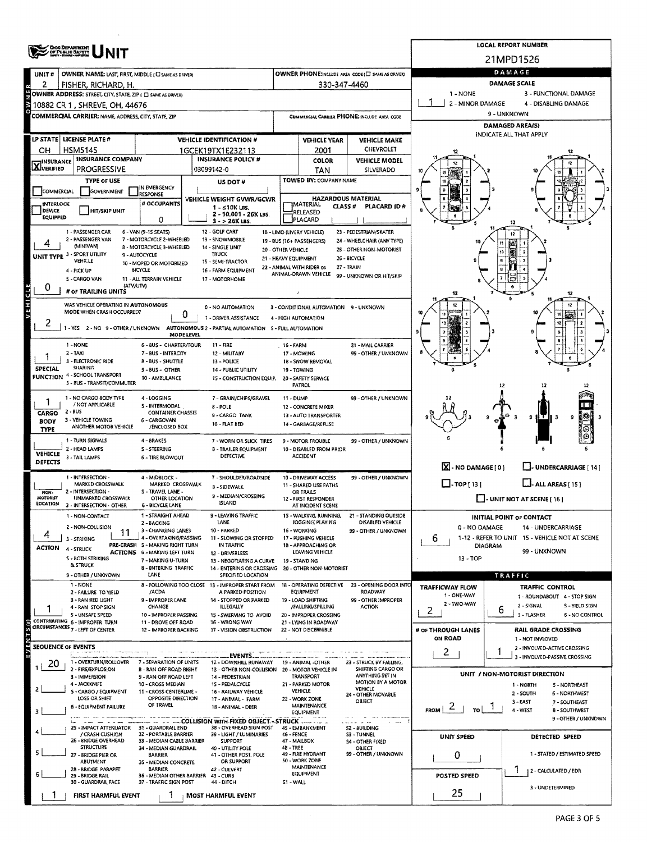|                                   | <b>ONO DEPARTMENT<br/>OF PUBLIC BAPETY</b>                                               |                                                          |                                                      |                                                                         |                                            |                                               |                                                   |                            |                                       | <b>LOCAL REPORT NUMBER</b>                                           |  |  |  |
|-----------------------------------|------------------------------------------------------------------------------------------|----------------------------------------------------------|------------------------------------------------------|-------------------------------------------------------------------------|--------------------------------------------|-----------------------------------------------|---------------------------------------------------|----------------------------|---------------------------------------|----------------------------------------------------------------------|--|--|--|
|                                   |                                                                                          |                                                          |                                                      |                                                                         |                                            |                                               |                                                   |                            | 21MPD1526<br>DAMAGE                   |                                                                      |  |  |  |
| UNIT#                             | OWNER NAME: LAST, FIRST, MIDDLE (C) SAME AS DRIVER)<br>FISHER, RICHARD, H.               |                                                          |                                                      |                                                                         |                                            | 330-347-4460                                  | OWNER PHONE:INCLUDE AREA CODE (ET SAME AS DRIVER) |                            | <b>DAMAGE SCALE</b>                   |                                                                      |  |  |  |
|                                   | OWNER ADDRESS: STREET, CITY, STATE, ZIP ( C) SAME AS DRIVER)                             |                                                          |                                                      |                                                                         |                                            |                                               |                                                   | 1 - NONE                   |                                       | 3 - FUNCTIONAL DAMAGE                                                |  |  |  |
| OWNE                              | 10882 CR 1 , SHREVE, OH, 44676                                                           |                                                          |                                                      |                                                                         |                                            |                                               |                                                   | 2 - MINOR DAMAGE           |                                       | 4 - DISABLING DAMAGE                                                 |  |  |  |
|                                   | COMMERCIAL CARRIER: NAME, ADDRESS, CITY, STATE, ZIP                                      |                                                          |                                                      |                                                                         |                                            |                                               | COMMERCIAL CARRIER PHONE: INCLUDE AREA CODE       |                            | 9 - UNKNOWN<br><b>DAMAGED AREA(S)</b> |                                                                      |  |  |  |
|                                   | LP STATE   LICENSE PLATE #                                                               |                                                          |                                                      |                                                                         |                                            |                                               |                                                   |                            |                                       | INDICATE ALL THAT APPLY                                              |  |  |  |
| он                                | <b>HSM5145</b>                                                                           |                                                          | <b>VEHICLE IDENTIFICATION #</b><br>1GCEK19TX1E232113 |                                                                         |                                            | <b>VEHICLE YEAR</b><br>2001                   | <b>VEHICLE MAKE</b><br>CHEVROLET                  |                            |                                       |                                                                      |  |  |  |
| <b>X</b> INSURANCE                | <b>INSURANCE COMPANY</b>                                                                 |                                                          | <b>INSURANCE POLICY #</b>                            |                                                                         |                                            | COLOR                                         | <b>VEHICLE MODEL</b>                              |                            |                                       |                                                                      |  |  |  |
|                                   | <b>PROGRESSIVE</b>                                                                       |                                                          | 03099142-0                                           |                                                                         |                                            | <b>TAN</b>                                    | SILVERADO                                         |                            |                                       |                                                                      |  |  |  |
| COMMERCIAL                        | <b>TYPE OF USE</b><br>GOVERNMENT                                                         | IN EMERGENCY                                             |                                                      | US DOT#                                                                 |                                            | TOWED BY: COMPANY NAME                        |                                                   |                            |                                       |                                                                      |  |  |  |
| INTERLOCK                         |                                                                                          | <b>RESPONSE</b><br># OCCUPANTS                           |                                                      | VEHICLE WEIGHT GVWR/GCWR                                                |                                            | HAZARDOUS MATERIAL<br>MATERIAL                |                                                   |                            |                                       |                                                                      |  |  |  |
| <b>DEVICE</b><br>EQUIPPED         | <b>HIT/SKIP UNIT</b>                                                                     | 0                                                        |                                                      | $1 - 510K$ LBS.<br>2 - 10.001 - 26K LBS.                                |                                            | CLASS#<br>RELEASED<br>PLACARD                 | <b>PLACARD ID#</b>                                |                            |                                       |                                                                      |  |  |  |
|                                   | 1 - PASSENGER CAR                                                                        | 6 - VAN (9-15 SEATS)                                     | 12 - GOLF CART                                       | $3 - 26K$ LBS.                                                          |                                            | 18 - LIMO (LIVERY VEHICLE)                    | 23 - PEDESTRIAN/SKATER                            |                            | 12<br>12                              |                                                                      |  |  |  |
| 4                                 | 2 - PASSENGER VAN<br>(MINIVAN)                                                           | 7 - MOTORCYCLE 2-WHEELED<br>8 - MOTORCYCLE 3-WHEELED     | 13 - SNOWMOBILE                                      |                                                                         |                                            | 19 - BUS (16+ PASSENGERS)                     | 24 - WHEELCHAIR (ANY TYPE)                        |                            |                                       |                                                                      |  |  |  |
|                                   | UNIT TYPE 3 - SPORT UTILITY                                                              | <b>9 - AUTOCYCLE</b>                                     | 14 - SINGLE UNIT<br>TRUCK                            |                                                                         | 20 - OTHER VEHICLE<br>21 - HEAVY EQUIPMENT |                                               | 25 - OTHER NON-MOTORIST<br>26 - BICYCLE           |                            | E<br>10                               | -2                                                                   |  |  |  |
|                                   | VEHICLE<br>4 - PICK UP                                                                   | 10 - MOPED OR MOTORIZED<br><b>BICYCLE</b>                | 15 - SEMI-TRACTOR<br>16 - FARM EQUIPMENT             |                                                                         |                                            | 22 - ANIMAL WITH RIDER OR                     | 27 - TRAIN                                        |                            |                                       |                                                                      |  |  |  |
|                                   | S - CARGO VAN                                                                            | 11 - ALL TERRAIN VEHICLE<br>(ATV/UTV)                    | 17 - MOTORHOME                                       |                                                                         |                                            | ANIMAL-DRAWN VEHICLE                          | 99 - UNKNOWN OR HIT/SKIP                          |                            |                                       |                                                                      |  |  |  |
| <b>VEHICLE</b><br>0               | # OF TRAILING UNITS                                                                      |                                                          |                                                      |                                                                         |                                            |                                               |                                                   | 12                         |                                       | 12                                                                   |  |  |  |
|                                   | WAS VEHICLE OPERATING IN AUTONOMOUS<br>MODE WHEN CRASH OCCURRED?                         |                                                          |                                                      | <b>0 - NO AUTOMATION</b>                                                |                                            | 3 - CONDITIONAL AUTOMATION 9 - UNKNOWN        |                                                   | 12                         |                                       | 12                                                                   |  |  |  |
| z                                 |                                                                                          | 0                                                        |                                                      | 1 - DRIVER ASSISTANCE                                                   |                                            | 4 - HIGH AUTOMATION                           |                                                   | 40                         |                                       | 11<br>$\mathcal{L}$<br>10                                            |  |  |  |
|                                   | 1 - YES 2 - NO 9 - OTHER / UNKNOWN AUTONOMOUS 2 - PARTIAL AUTOMATION 5 - FULL AUTOMATION | MODE LEVEL                                               |                                                      |                                                                         |                                            |                                               |                                                   | $\overline{\mathbf{e}}$    |                                       |                                                                      |  |  |  |
|                                   | 1 - NONE                                                                                 | 6 - BUS - CHARTER/TOUR                                   | 11 - FIRE                                            |                                                                         | 16 - FARM                                  |                                               | 21 - MAIL CARRIER                                 |                            |                                       |                                                                      |  |  |  |
|                                   | $2 - TAXI$<br>3 - ELECTRONIC RIDE                                                        | 7 - BUS - INTERCITY<br>8 - BUS - SHUTTLE                 | 12 - MILITARY<br>13 - POLICE                         |                                                                         |                                            | 17 - MOWING<br>18 - SNOW REMOVAL              | 99 - OTHER / UNKNOWN                              |                            |                                       |                                                                      |  |  |  |
| <b>SPECIAL</b><br><b>FUNCTION</b> | SHARING<br>4 - SCHOOL TRANSPORT                                                          | 9 - BUS - OTHER<br>10 - AMBULANCE                        |                                                      | 14 - PUBLIC UTILITY<br>15 - CONSTRUCTION EQUIP.                         | 19 - TOWING                                | 20 - SAFETY SERVICE                           |                                                   |                            |                                       |                                                                      |  |  |  |
|                                   | 5 - BUS - TRANSIT/COMMUTER                                                               |                                                          |                                                      |                                                                         |                                            | <b>PATROL</b>                                 |                                                   |                            | 12                                    |                                                                      |  |  |  |
|                                   | 1 - NO CARGO BODY TYPE<br>/ NOT APPLICABLE                                               | 4 - LOGGING                                              |                                                      | 7 - GRAIN/CHIPS/GRAVEL                                                  | 11 - DUMP                                  |                                               | 99 - OTHER / UNKNOWN                              |                            |                                       |                                                                      |  |  |  |
| CARGO                             | $2 - BUS$                                                                                | S - INTERMODAL<br><b>CONTAINER CHASSIS</b>               | 8 - POLE                                             | 9 - CARGO TANK                                                          |                                            | 12 - CONCRETE MIXER<br>13 - AUTO TRANSPORTER  |                                                   |                            |                                       | 88<br>g.<br>$\mathbf{9}$                                             |  |  |  |
| <b>BODY</b><br><b>TYPE</b>        | 3 - VEHICLE TOWING<br>ANOTHER MOTOR VEHICLE                                              | 6 - CARGOVAN<br>/ENCLOSED BOX                            | 10 FLAT BED                                          |                                                                         |                                            | 14 - GARBAGE/REFUSE                           |                                                   |                            |                                       |                                                                      |  |  |  |
|                                   | 1 - TURN SIGNALS                                                                         | 4-BRAKES                                                 |                                                      | 7 - WORN OR SLICK TIRES                                                 |                                            | 9 - MOTOR TROUBLE                             | 99 - OTHER / UNKNOWN                              |                            |                                       |                                                                      |  |  |  |
| <b>VEHICLE</b>                    | 2 - HEAD LAMPS<br>3 - TAIL LAMPS                                                         | <b>S-STEERING</b><br>6 - TIRE BLOWOUT                    |                                                      | 8 - TRAILER EQUIPMENT<br>DEFECTIVE                                      |                                            | 10 - DISABLED FROM PRIOR<br><b>ACCIDENT</b>   |                                                   |                            |                                       |                                                                      |  |  |  |
| <b>DEFECTS</b>                    |                                                                                          |                                                          |                                                      |                                                                         |                                            |                                               |                                                   | $X - NO$ DAMAGE $[0]$      |                                       | J- UNDERCARRIAGE [ 14 ]                                              |  |  |  |
|                                   | I - INTERSECTION -<br>MARKED CROSSWALK                                                   | 4 - MIDBLOCK -<br>MARKED CROSSWALK                       |                                                      | 7 - SHOULDER/ROADSIDE                                                   |                                            | 10 - DRIVEWAY ACCESS<br>11 - SHARED USE PATHS | 99 - OTHER / UNKNOWN                              | $\Box$ -TOP[13]            |                                       | $L$ . ALL AREAS [15]                                                 |  |  |  |
| NON-<br><b>MOTORIST</b>           | 2 - INTERSECTION -<br><b>UNMARKED CROSSWALK</b>                                          | S - TRAVEL LANE -<br>OTHER LOCATION                      | 8 - SIDEWALK                                         | 9 - MEDIAN/CROSSING                                                     |                                            | OR TRAILS<br>12 - FIRST RESPONDER             |                                                   |                            |                                       |                                                                      |  |  |  |
| <b>LOCATION</b>                   | 3 - INTERSECTION - OTHER                                                                 | <b>6 - BICYCLE LANE</b>                                  | ISLAND                                               |                                                                         |                                            | AT INCIDENT SCENE                             |                                                   |                            |                                       | $\Box$ - UNIT NOT AT SCENE [16]                                      |  |  |  |
|                                   | 1 - NON-CONTACT                                                                          | 1 - STRAIGHT AHEAD<br>2 - BACKING                        | LANE                                                 | 9 - LEAVING TRAFFIC                                                     |                                            | 15 - WALKING, RUNNING,<br>JOGGING, PLAYING    | 21 - STANDING OUTSIDE<br>DISABLED VEHICLE         |                            |                                       | <b>INITIAL POINT OF CONTACT</b>                                      |  |  |  |
| 4                                 | 2 - NON-COLLISION<br>11                                                                  | 3 - CHANGING LANES<br>4 - OVERTAKING/PASSING             | 10 - PARKED                                          | 11 - SLOWING OR STOPPED                                                 |                                            | 16 - WORKING                                  | 99 - OTHER / UNKNOWN                              | 0 - NO DAMAGE              |                                       | 14 - UNDERCARRIAGE<br>1-12 - REFER TO UNIT 15 - VEHICLE NOT AT SCENE |  |  |  |
| <b>ACTION</b>                     | 3 - STRIKING<br>4 - STRUCK                                                               | PRE-CRASH S - MAKING RIGHT TURN                          |                                                      | IN TRAFFIC                                                              |                                            | 17 - PUSHING VEHICLE<br>18 - APPROACHING OR   |                                                   | b                          | <b>DIAGRAM</b>                        | 99 - UNKNOWN                                                         |  |  |  |
|                                   | S - BOTH STRIKING<br>& STRUCK                                                            | ACTIONS 6 - MAKING LEFT TURN<br>7 - MAKING U-TURN        |                                                      | 12 - DRIVERLESS<br>13 - NEGOTIATING A CURVE                             |                                            | LEAVING VEHICLE<br>19 - STANDING              |                                                   | 13 - TOP                   |                                       |                                                                      |  |  |  |
|                                   | 9 - OTHER / UNKNOWN                                                                      | 8 - ENTERING TRAFFIC<br>LANE                             |                                                      | 14 - ENTERING OR CROSSING 20 - OTHER NON-MOTORIST<br>SPECIFIED LOCATION |                                            |                                               |                                                   |                            | TRAFFIC                               |                                                                      |  |  |  |
|                                   | 1 - NONE<br>2 - FAILURE TO YIELD                                                         | /ACDA                                                    |                                                      | 8 - FOLLOWING TOO CLOSE 13 - IMPROPER START FROM                        |                                            | 18 - OPERATING DEFECTIVE<br><b>EQUIPMENT</b>  | 23 - OPENING DOOR INTO<br>ROADWAY                 | <b>TRAFFICWAY FLOW</b>     |                                       | TRAFFIC CONTROL                                                      |  |  |  |
|                                   | 3 - RAN RED LIGHT                                                                        | 9 - IMPROPER LANE                                        |                                                      | A PARKED POSITION<br>14 - STOPPED OR PARKED                             |                                            | 19 - LOAD SHIFTING                            | 99 - OTHER IMPROPER                               | 1 - ONE-WAY<br>2 - TWO-WAY |                                       | 1 - ROUNDABOUT 4 - STOP SIGN                                         |  |  |  |
|                                   | 4 - RAN STOP SIGN<br>S - UNSAFE SPEED                                                    | CHANGE<br>10 - IMPROPER PASSING                          |                                                      | <b>ILLEGALLY</b><br>15 - SWERVING TO AVOID                              |                                            | /FALLING/SPILLING<br>20 - IMPROPER CROSSING   | <b>ACTION</b>                                     | 2                          | ь                                     | 2 - SIGNAL<br>S - YIELD SIGN<br>3 - FLASHER<br>6 - NO CONTROL        |  |  |  |
|                                   | CONTRIBUTING 6 - IMPROPER TURN<br>G CONTRIBUTING 6 - IMPROPER TURN                       | 11 - DROVE OFF ROAD<br>12 - IMPROPER BACKING             |                                                      | 16 - WRONG WAY<br>17 - VISION OBSTRUCTION                               |                                            | 21 - LYING IN ROADWAY<br>22 - NOT DISCERNIBLE |                                                   | # OF THROUGH LANES         |                                       | RAIL GRADE CROSSING                                                  |  |  |  |
|                                   |                                                                                          |                                                          |                                                      |                                                                         |                                            |                                               |                                                   | ON ROAD                    |                                       | 1 - NOT INVLOVED                                                     |  |  |  |
|                                   | SEOUENCE OF EVENTS                                                                       |                                                          |                                                      | EVENTS.                                                                 |                                            |                                               |                                                   | $\mathbf{z}$               | 1                                     | 2 - INVOLVED-ACTIVE CROSSING<br>3 - INVOLVED-PASSIVE CROSSING        |  |  |  |
| 20                                | 1 - OVERTURN/ROLLOVER<br>2 - FIRE/EXPLOSION                                              | 7 - SEPARATION OF UNITS<br><b>B - RAN OFF ROAD RIGHT</b> |                                                      | 12 - DOWNHILL RUNAWAY<br>13 - OTHER NON-COLLISION                       |                                            | 19 - ANIMAL - OTHER<br>20 - MOTOR VEHICLE IN  | 23 - STRUCK BY FALLING,<br>SHIFTING CARGO OR      |                            |                                       |                                                                      |  |  |  |
|                                   | 3 - IMMERSION<br>4 - JACKKNIFE                                                           | 9 - RAN OFF ROAD LEFT<br>10 - CROSS MEDIAN               |                                                      | 14 - PEDESTRIAN<br>15 - PEDALCYCLE                                      |                                            | TRANSPORT<br>21 - PARKED MOTOR                | ANYTHING SET IN<br>MOTION BY A MOTOR              |                            |                                       | UNIT / NON-MOTORIST DIRECTION                                        |  |  |  |
|                                   | 5 - CARGO / EQUIPMENT                                                                    | 11 - CROSS CENTERLINE -                                  |                                                      | <b>16 - RAILWAY VEHICLE</b>                                             |                                            | <b>VEHICLE</b>                                | VEHICLE<br>24 - OTHER MOVABLE                     |                            |                                       | 1 - NORTH<br>S - NORTHEAST<br>2 - SOUTH<br>6 - NORTHWEST             |  |  |  |
|                                   | LOSS OR SHIFT<br>6 - EQUIPMENT FAILURE                                                   | OPPOSITE DIRECTION<br>OF TRAVEL                          |                                                      | 17 - ANIMAL - FARM<br>18 - ANIMAL - DEER                                |                                            | 22 - WORK ZONE<br>MAINTENANCE                 | OBJECT                                            | $F_{ROM}$   2  <br>TO      |                                       | $3 - EAST$<br>7 - SOUTHEAST<br>4 - WEST<br>8 - SOUTHWEST             |  |  |  |
|                                   |                                                                                          |                                                          |                                                      |                                                                         |                                            | EQUIPMENT                                     |                                                   |                            |                                       | 9 - OTHER / UNKNOWN                                                  |  |  |  |
|                                   | 25 - IMPACT ATTENUATOR 31 - GUARDRAIL END<br>/ CRASH CUSHION                             | 32 - PORTABLE BARRIER                                    |                                                      | 38 - OVERHEAD SIGN POST<br>39 - LIGHT / LUMINARIES                      | 46 - FENCE                                 | 45 - EMBANKMENT                               | S2 - BUILDING<br>S3 - TUNNEL                      | UNIT SPEED                 |                                       | DETECTED SPEED                                                       |  |  |  |
|                                   | 26 - BRIDGE OVERHEAD<br><b>STRUCTURE</b>                                                 | 33 - MEDIAN CABLE BARRIER<br>34 - MEDIAN GUARDRAIL       |                                                      | <b>SUPPORT</b><br>40 - UTILITY POLE                                     | 47 - MAILBOX<br>4B - TREE                  |                                               | <b>S4 - OTHER FIXED</b><br>OBJECT                 |                            |                                       |                                                                      |  |  |  |
|                                   | 27 - BRIDGE PIER OR<br><b>ABUTMENT</b>                                                   | <b>BARRIER</b><br>3S - MEDIAN CONCRETE                   |                                                      | 41 - OTHER POST, POLE<br>OR SUPPORT                                     |                                            | 49 - FIRE HYDRANT<br>50 - WORK ZONE           | 99 - OTHER / UNKNOWN                              | 0                          |                                       | 1 - STATED / ESTIMATED SPEED                                         |  |  |  |
|                                   | 28 - BRIDGE PARAPET<br>29 - BRIDGE RAIL                                                  | <b>BARRIER</b><br>36 - MEDIAN OTHER BARRIER              | 42 - CULVERT<br>43 - CURB                            |                                                                         |                                            | MAINTENANCE<br><b>EQUIPMENT</b>               |                                                   | POSTED SPEED               |                                       | 1<br>2 - CALCULATED / EDR                                            |  |  |  |
|                                   | 30 - GUARDRAIL FACE                                                                      | 37 - TRAFFIC SIGN POST                                   | 44 - DITCH                                           |                                                                         | S1-WALL                                    |                                               |                                                   |                            |                                       | 3 - UNDETERMINED                                                     |  |  |  |
|                                   | FIRST HARMFUL EVENT                                                                      |                                                          | MOST HARMFUL EVENT                                   |                                                                         |                                            |                                               |                                                   | 25                         |                                       |                                                                      |  |  |  |

 $\hat{\mathcal{A}}$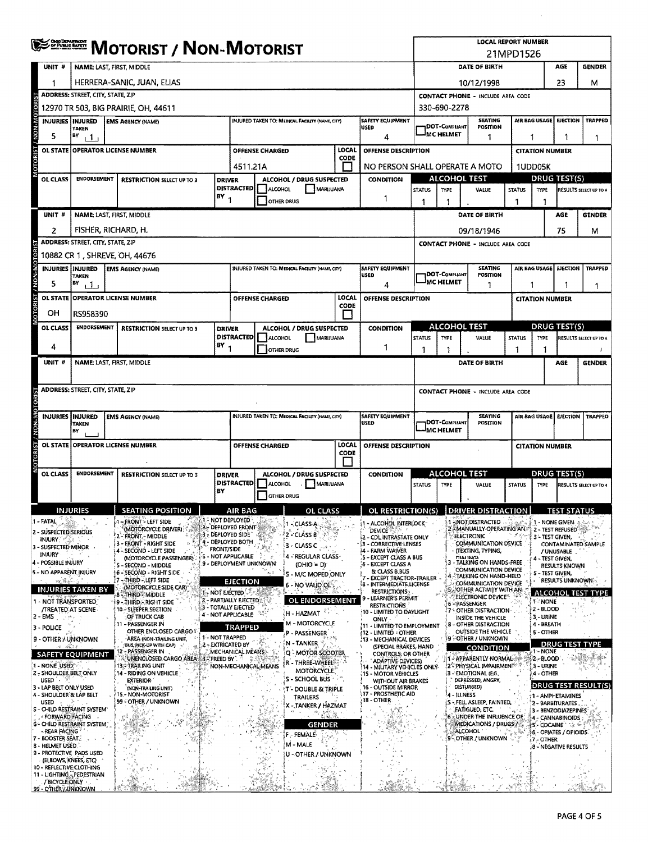|                 |                                                             |                                                      |    |                                                             |                   |                                               |                        |                                                 |                      |                                                                                        | <b>LOCAL REPORT NUMBER</b><br>21MPD1526  |                                     |                                                                                   |                                   |               |                         |                                                   |                               |
|-----------------|-------------------------------------------------------------|------------------------------------------------------|----|-------------------------------------------------------------|-------------------|-----------------------------------------------|------------------------|-------------------------------------------------|----------------------|----------------------------------------------------------------------------------------|------------------------------------------|-------------------------------------|-----------------------------------------------------------------------------------|-----------------------------------|---------------|-------------------------|---------------------------------------------------|-------------------------------|
|                 | UNIT #                                                      |                                                      |    | NAME: LAST, FIRST, MIDDLE                                   |                   |                                               |                        |                                                 |                      |                                                                                        |                                          |                                     | DATE OF BIRTH                                                                     |                                   |               |                         | AGE                                               | <b>GENDER</b>                 |
|                 | 1                                                           | HERRERA-SANIC, JUAN, ELIAS                           |    |                                                             |                   |                                               |                        |                                                 |                      |                                                                                        |                                          |                                     | 10/12/1998                                                                        |                                   |               |                         | 23                                                | м                             |
|                 |                                                             | <b>ADDRESS: STREET, CITY, STATE, ZIP</b>             |    |                                                             |                   |                                               |                        |                                                 |                      |                                                                                        | <b>CONTACT PHONE - INCLUDE AREA CODE</b> |                                     |                                                                                   |                                   |               |                         |                                                   |                               |
|                 |                                                             | 12970 TR 503, BIG PRAIRIE, OH, 44611<br>330-690-2278 |    |                                                             |                   |                                               |                        |                                                 |                      |                                                                                        |                                          |                                     |                                                                                   |                                   |               |                         |                                                   |                               |
| <b>MON-M</b>    | <b>INJURIES INJURED</b>                                     | TAKEN                                                |    | <b>EMS AGENCY (NAME)</b>                                    |                   |                                               |                        | INJURED TAKEN TO: MEDICAL FACILITY (NAME, CITY) |                      | SAFETY EQUIPMENT<br>USED                                                               |                                          | <b>DOT-COMPLIANT</b>                |                                                                                   | <b>SEATING</b><br><b>POSITION</b> |               | <b>AIR BAG USAGE</b>    | <b>EJECTION</b>                                   | <b>TRAPPED</b>                |
|                 | 5                                                           | HΥ<br>$\Box$ 1                                       |    |                                                             |                   |                                               |                        |                                                 |                      | 4                                                                                      |                                          | <b>MC HELMET</b>                    |                                                                                   | 1                                 | 1             |                         |                                                   | -1                            |
| <b>OTORIST</b>  | <b>OL STATE</b>                                             |                                                      |    | <b>OPERATOR LICENSE NUMBER</b>                              |                   |                                               | <b>OFFENSE CHARGED</b> |                                                 | LOCAL<br>CODE        | OFFENSE DESCRIPTION                                                                    |                                          |                                     |                                                                                   |                                   |               | <b>CITATION NUMBER</b>  |                                                   |                               |
|                 |                                                             |                                                      |    |                                                             |                   | 4511.21A                                      |                        |                                                 |                      | NO PERSON SHALL OPERATE A MOTO                                                         |                                          |                                     |                                                                                   |                                   |               | <b>1UDD05K</b>          |                                                   |                               |
|                 | OL CLASS                                                    | ENDORSEMENT                                          |    | <b>RESTRICTION SELECT UP TO 3</b>                           | <b>DRIVER</b>     | <b>DISTRACTED</b>                             | ALCOHOL                | ALCOHOL / DRUG SUSPECTED<br>MARUUANA            |                      | <b>CONDITION</b>                                                                       | <b>STATUS</b>                            | <b>TYPE</b>                         | <b>ALCOHOL TEST</b><br>VALUE                                                      |                                   | <b>STATUS</b> | TYPE                    | <b>DRUG TEST(S)</b>                               | <b>RESULTS SELECT UP TO 4</b> |
|                 |                                                             |                                                      |    |                                                             | $18Y_1$           |                                               |                        | OTHER DRUG                                      |                      | 1                                                                                      | 1                                        | 1                                   |                                                                                   |                                   | 1             | 1                       |                                                   |                               |
|                 | UNIT#                                                       |                                                      |    | NAME: LAST, FIRST, MIDDLE                                   |                   |                                               |                        |                                                 |                      |                                                                                        |                                          |                                     | <b>DATE OF BIRTH</b>                                                              |                                   |               |                         | <b>AGE</b>                                        | <b>GENDER</b>                 |
|                 | 2                                                           |                                                      |    | FISHER, RICHARD, H.                                         |                   |                                               |                        |                                                 |                      |                                                                                        |                                          |                                     | 09/18/1946                                                                        |                                   |               |                         | 75                                                | м                             |
|                 |                                                             | <b>ADDRESS: STREET, CITY, STATE, ZIP</b>             |    |                                                             |                   |                                               |                        |                                                 |                      |                                                                                        |                                          |                                     | <b>CONTACT PHONE - INCLUDE AREA CODE</b>                                          |                                   |               |                         |                                                   |                               |
| / NON-MOTOR     |                                                             |                                                      |    | 10882 CR 1, SHREVE, OH, 44676                               |                   |                                               |                        |                                                 |                      |                                                                                        |                                          |                                     |                                                                                   |                                   |               |                         |                                                   |                               |
|                 |                                                             | <b>INJURIES INJURED</b><br>TAKEN                     |    | <b>EMS AGENCY (NAME)</b>                                    |                   |                                               |                        | INJURED TAKEN TO: MEDICAL FACILITY (NAME, CITY) |                      | <b>SAFETY EQUIPMENT</b><br><b>USED</b>                                                 |                                          | <b>IDOT-COMPLIANT</b><br>IMC HELMET |                                                                                   | <b>SEATING</b><br><b>POSITION</b> |               |                         | AIR BAG USAGE   EJECTION                          | <b>TRAPPED</b>                |
|                 | 5                                                           | BY<br>11                                             |    |                                                             |                   |                                               |                        |                                                 |                      | 4                                                                                      |                                          |                                     |                                                                                   | 1                                 | 1             |                         |                                                   | 1                             |
| <b>TSINOLOS</b> |                                                             |                                                      |    | OL STATE OPERATOR LICENSE NUMBER                            |                   |                                               | <b>OFFENSE CHARGED</b> |                                                 | <b>LOCAL</b><br>CODE | OFFENSE DESCRIPTION                                                                    |                                          |                                     |                                                                                   |                                   |               | <b>CITATION NUMBER</b>  |                                                   |                               |
|                 | OН                                                          | RS958390                                             |    |                                                             |                   |                                               |                        |                                                 |                      |                                                                                        |                                          |                                     | <b>ALCOHOL TEST</b>                                                               |                                   |               |                         | <b>DRUG TEST(S)</b>                               |                               |
|                 | OL CLASS                                                    | <b>ENDORSEMENT</b>                                   |    | <b>RESTRICTION SELECT UP TO 3</b>                           | <b>DRIVER</b>     | <b>DISTRACTED</b>                             | ALCOHOL                | ALCOHOL / DRUG SUSPECTED<br>MARIJUANA           |                      | <b>CONDITION</b>                                                                       | <b>STATUS</b>                            | <b>TYPE</b>                         | VALUE                                                                             |                                   | <b>STATUS</b> | TYPE                    |                                                   | RESULTS SELECT UP TO 4        |
|                 | 4                                                           |                                                      |    |                                                             | BY                |                                               |                        | <b>OTHER DRUG</b>                               |                      | 1                                                                                      | 1                                        | ŋ                                   |                                                                                   |                                   | 1             | ٦                       |                                                   |                               |
|                 | UNIT #                                                      |                                                      |    | NAME: LAST, FIRST, MIDDLE                                   |                   |                                               |                        |                                                 |                      |                                                                                        |                                          |                                     | DATE OF BIRTH                                                                     |                                   |               |                         | AGE                                               | <b>GENDER</b>                 |
|                 |                                                             | ADDRESS: STREET, CITY, STATE, ZIP                    |    |                                                             |                   |                                               |                        |                                                 |                      |                                                                                        | <b>CONTACT PHONE - INCLUDE AREA CODE</b> |                                     |                                                                                   |                                   |               |                         |                                                   |                               |
|                 |                                                             |                                                      |    |                                                             |                   |                                               |                        |                                                 |                      |                                                                                        |                                          |                                     |                                                                                   |                                   |               |                         |                                                   |                               |
|                 | <b>INJURIES INJURED</b>                                     | TAKEN                                                |    | <b>EMS AGENCY (NAME)</b>                                    |                   |                                               |                        | INJURED TAKEN TO: MEDICAL FACILITY (NAME, CITY) |                      | <b>SAFETY EQUIPMENT</b><br><b>USED</b>                                                 |                                          | DOT-Compliant<br><b>JMC HELMET</b>  |                                                                                   | <b>SEATING</b><br>POSITION        |               | AIR BAG USAGE           |                                                   | <b>EJECTION   TRAPPED</b>     |
|                 |                                                             | B٧                                                   |    | OL STATE OPERATOR LICENSE NUMBER                            |                   |                                               | <b>OFFENSE CHARGED</b> |                                                 | LOCAL                | OFFENSE DESCRIPTION                                                                    |                                          |                                     |                                                                                   |                                   |               | <b>CITATION NUMBER</b>  |                                                   |                               |
| OTORIST / NON-M |                                                             |                                                      |    |                                                             |                   |                                               |                        |                                                 | CODE                 |                                                                                        |                                          |                                     |                                                                                   |                                   |               |                         |                                                   |                               |
|                 | OL CLASS                                                    | <b>ENDORSEMENT</b>                                   |    | <b>RESTRICTION SELECT UP TO 3</b>                           | <b>DRIVER</b>     | <b>DISTRACTED</b>                             | <b>ALCOHOL</b>         | ALCOHOL / DRUG SUSPECTED<br>MARUUANA            |                      | CONDITION                                                                              | <b>STATUS</b>                            | <b>TYPE</b>                         | <b>ALCOHOL TEST</b><br>VALUE                                                      |                                   | <b>STATUS</b> | TYPE                    | <b>DRUG TEST(S)</b>                               | RESULTS SELECT UP TO 4        |
|                 |                                                             |                                                      |    |                                                             | BY                |                                               | <b>OTHER DRUG</b>      |                                                 |                      |                                                                                        |                                          |                                     |                                                                                   |                                   |               |                         |                                                   |                               |
|                 |                                                             | <b>INJURIES</b>                                      |    | <b>SEATING POSITION</b>                                     |                   | AIR BAG                                       |                        | п<br>of class                                   |                      | OL RESTRICTION(S)   DRIVER DISTRACTION                                                 |                                          |                                     |                                                                                   |                                   |               |                         | TECT CTATHE                                       |                               |
|                 | 1 - FATAL                                                   |                                                      |    | 1 - FRONT - LEFT SIDE<br>(MOTORCYCLE DRIVER)                |                   | <b>1 - NOT DEPLOYED</b><br>2 - DEPLOYED FRONT |                        | 1 - CLASS A                                     |                      | - ALCOHOL INTERLOCK<br><b>DEVICE</b>                                                   |                                          |                                     | 1 ::NOT:DISTRACTED<br>2 - MANUALLY OPERATING AN                                   |                                   |               | 1 - NONE GIVEN          | 2 - TEST REFUSED                                  |                               |
|                 | 2 - SUSPECTED SERIOUS<br><b>INJURY:</b>                     |                                                      |    | 2 FRONT - MIDDLE<br>3 - FRONT - RIGHT SIDE                  |                   | :3 - DEPLOYED SIDE"<br>4 - DEPLOYED BOTH      |                        | $2 - CLASS B$<br>3 - CLASS C                    |                      | - CDL INTRASTATE ONLY<br><b>33 - CORRECTIVE LENSES</b>                                 |                                          |                                     | <b>ELECTRONIC</b><br><b>COMMUNICATION DEVICE</b>                                  |                                   |               | 3 - TEST GIVEN,         |                                                   | CONTAMINATED SAMPLE           |
|                 | 3 - SUSPECTED MINOR<br><b>INJURY</b>                        |                                                      |    | 4 - SECOND - LEFT SIDE<br>(MOTORCYCLE PASSENGER)            | <b>FRONT/SIDE</b> | - NOT APPLICABLE                              |                        | 4 - REGULAR CLASS-                              |                      | i4 - FARM WAIVER<br>5 - EXCEPT CLASS A BUS                                             |                                          |                                     | (TEXTING, TYPING,<br><b>FILAI INGV</b>                                            |                                   |               | 4 - TEST GIVEN,         | / UNUSABLE                                        |                               |
|                 | 4 - POSSIBLE INJURY<br>5 - NO APPARENT INJURY               |                                                      |    | S - SECOND - MIDDLE<br>{6 - Second - Right Side             |                   | 9 - DEPLOYMENT UNKNOWN                        |                        | (OHIO = D)<br>5 - M/C MOPED ONLY                |                      | :6 - EXCEPT CLASS A<br>& CLASS B.BUS                                                   |                                          |                                     | - TALKING ON HANDS-FREE<br>COMMUNICATION DEVICE<br><b>4. TALKING ON HAND-HELD</b> |                                   |               | S - TEST GIVEN,         | RESULTS KNOWN                                     |                               |
|                 | rte Supr                                                    | <b>INJURIES TAKEN BY</b>                             | 17 | -THIRD - LEFT SIDE<br>(MOTORCYCLE SIDE CAR)*                |                   | EJECTION                                      |                        | 6 - NO VÁLID OL 1                               |                      | <b>EXCEPT TRACTOR-TRAILER</b><br>- INTERMEDIATE LICENSE<br>šB.<br><b>RESTRICTIONS:</b> |                                          |                                     | COMMUNICATION DEVICE<br>5 - OTHER ACTIVITY WITH AN                                |                                   |               |                         | <b>RESULTS UNKNOWN</b>                            |                               |
|                 | 1 - NOT TRANSPORTED                                         |                                                      |    | 8 - THIRD - MIDDLE<br>9 - THIRD, RIGHT SIDE                 | 1- NOT EJECTED    | 2 - PARTIALLY EJECTED ::                      |                        | OL ENDORSEMENT                                  |                      | LEARNER'S PERMIT<br><b>RESTRICTIONS</b>                                                |                                          |                                     | ELECTRONIC DEVICE <sup>®</sup><br>6-PASSENGER                                     |                                   |               | <b>T NONE</b>           |                                                   | ALCOHOL TEST TYPE             |
|                 | <b>/TREATED: AT SCENE</b><br>2 - EMS                        |                                                      |    | 10 - SLEEPER SECTION<br>OF TRUCK CAB                        |                   | 3 - TOTALLY EJECTED<br>4 - NOT APPLICABLE     |                        | H - HAZMAT                                      |                      | 10 - LIMITED TO DAYLIGHT<br><b>ONLY</b>                                                |                                          |                                     | 7 - OTHER DISTRACTION<br>INSIDE THE VEHICLE                                       |                                   |               | 2 - BLOOD<br>3. URINE   |                                                   |                               |
|                 | 3 - POLICE                                                  |                                                      |    | 11 - PASSENGER IN<br>OTHER ENCLOSED CARGO                   |                   | <b>TRAPPED</b>                                |                        | <b>M-MOTORCYCLE</b><br>P - PASSENGER            |                      | 11 - LIMITED TO EMPLOYMENT<br>12 - LIMITED - OTHER                                     |                                          |                                     | 8 - OTHER DISTRACTION<br>OUTSIDE THE VEHICLE                                      |                                   |               | 4 - BREATH<br>5 - OTHER |                                                   |                               |
|                 | 9 - OTHER / UNKNOWN                                         |                                                      |    | AREA (NON-TRAILING UNIT,<br>BUS, PICK-UP WITH CAP)          |                   | <b>1 - NOT TRAPPED</b><br>2 - EXTRICATED BY   |                        | N - TANKER                                      |                      | .13 - MECHANICAL DEVICES<br>(SPECIAL BRAKES, HAND                                      |                                          |                                     | 9 - OTHER / UNKNOWN<br><b>CONDITION</b>                                           |                                   |               |                         | <b>DRUG TEST TYPE</b>                             |                               |
|                 |                                                             | <b>SAFETY EQUIPMENT</b>                              |    | 12 - PASSENGER IN<br>UNENCLOSED CARGO AREA 3. FREED BY      |                   | MECHANICAL MEANS                              |                        | Q - MOTOR SCOOTER<br>R - THREE-WHEEL            |                      | CONTROLS, OR OTHER<br><b>ADAPTIVE DEVICES)</b>                                         |                                          |                                     | <b>ST-APPARENTLY NORMAL Company</b>                                               |                                   |               | 1 - NONE<br>2 - BLOOD   |                                                   |                               |
|                 | 1 - NONE USED!<br>2 - SHOULDER BELT ONLY                    |                                                      |    | <b>13. TRAILING UNIT</b><br>14 - RIDING ON VEHICLE          |                   |                                               | NON-MECHANICAL MEANS   | MOTORCYCLE<br>S'-SCHOOL BUS *                   |                      | 14 - MILITARY VEHICLES ONLY<br><b>15 - MOTOR VEHICLES</b>                              |                                          |                                     | 2 PHYSICAL IMPAIRMENT **<br>3 - EMOTIONAL (E.G.,                                  |                                   |               | 3 - URINE<br>4 - OTHER  |                                                   |                               |
|                 | USED ·<br>3 - LAP BELT ONLY USED<br>4 - SHOULDER & LAP BELT |                                                      |    | <b>EXTERIOR</b><br>(NON-TRAILING UNIT)<br>15 - NON-MOTORIST |                   |                                               |                        | <b>T-DOUBLE &amp; TRIPLE</b>                    |                      | WITHOUT AIR BRAKES<br>16 - OUTSIDE MIRROR<br><b>17 - PROSTHETIC AID</b>                |                                          |                                     | DEPRESSED, ANGRY,<br>DISTURBED)<br>∤4 - ILLNESS                                   |                                   |               |                         | <b>11 - AMPHETAMINES</b>                          | <b>DRUG TEST RESULT(S)</b>    |
|                 | <b>USED</b>                                                 | S - CHILD RESTRAINT SYSTEM                           |    | 99 - OTHER / UNKNOWN                                        |                   |                                               |                        | TRAILERS<br>X - TANKER / HAZMAT                 |                      | 18 - OTHER                                                                             |                                          |                                     | S - FELL ASLEEP, FAINTED,<br>FATIGUED, ETC.                                       |                                   |               |                         | 2 - BARBITURATES<br>3 - BÉNZODIAZEPINES           |                               |
|                 | - FORWARD FACING                                            | 6 - CHILD RESTRAINT SYSTEM.                          |    |                                                             |                   |                                               |                        | an an                                           |                      |                                                                                        |                                          |                                     | 6 - UNDER THE INFLUENCE OF<br>MEDICATIONS / DRUGS /                               |                                   |               |                         | 4 - CANNABINOIDS                                  |                               |
|                 | - REAR FACING<br>7 - BOOSTER SEAT.                          |                                                      |    |                                                             |                   |                                               |                        | GENDER<br>F - FEMALE                            |                      |                                                                                        |                                          |                                     | <b>ALCOHOL</b><br>9-OTHER / UNKNOWN                                               |                                   |               |                         | ¦5'- COCAINE ∵୍⊹ି<br><b>6 - OPIATES / OPIOIDS</b> |                               |
|                 | 8 - HELMET USED.                                            | 9 - PROTECTIVE PADS USED                             |    |                                                             |                   |                                               |                        | M - MALE                                        |                      |                                                                                        |                                          |                                     |                                                                                   |                                   |               | <b>7-OTHER</b>          | 8 - NEGATIVE RESULTS                              |                               |
|                 | (ELBOWS, KNEES, ETC)<br>10 - REFLECTIVE CLOTHING            |                                                      |    |                                                             |                   |                                               |                        | U - OTHER / UNKNOWN                             |                      |                                                                                        |                                          |                                     |                                                                                   |                                   |               |                         |                                                   |                               |
|                 | / BICYCLE ONLY                                              | 11 - LIGHTING - PEDESTRIAN                           |    |                                                             |                   |                                               |                        |                                                 |                      |                                                                                        |                                          |                                     |                                                                                   |                                   |               |                         |                                                   |                               |
|                 | 99 - OTHER / UNKNOWN                                        |                                                      |    |                                                             |                   |                                               |                        |                                                 |                      |                                                                                        |                                          |                                     |                                                                                   |                                   |               |                         |                                                   |                               |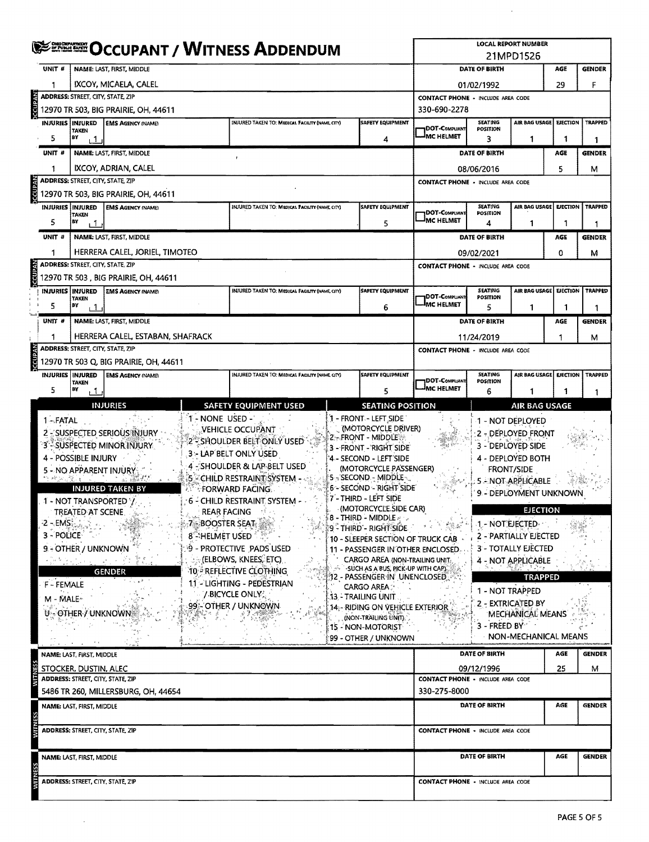|                |                           |                                                                                                                                                  | <b>SERGE OCCUPANT / WITNESS ADDENDUM</b>                         | <b>LOCAL REPORT NUMBER</b><br>21MPD1526 |                                                            |                                                                                 |                                                 |                                                    |                                          |                 |                |  |  |
|----------------|---------------------------|--------------------------------------------------------------------------------------------------------------------------------------------------|------------------------------------------------------------------|-----------------------------------------|------------------------------------------------------------|---------------------------------------------------------------------------------|-------------------------------------------------|----------------------------------------------------|------------------------------------------|-----------------|----------------|--|--|
|                | UNIT <sup>#</sup>         |                                                                                                                                                  | NAME: LAST, FIRST, MIDDLE                                        |                                         |                                                            |                                                                                 | DATE OF BIRTH                                   |                                                    | AGE                                      | GENDER          |                |  |  |
|                |                           |                                                                                                                                                  | IXCOY, MICAELA, CALEL                                            |                                         |                                                            |                                                                                 |                                                 | 01/02/1992                                         |                                          | 29              | F              |  |  |
|                |                           | <b>ADDRESS: STREET, CITY, STATE, ZIP</b>                                                                                                         |                                                                  |                                         |                                                            | <b>CONTACT PHONE - INCLUDE AREA CODE</b>                                        |                                                 |                                                    |                                          |                 |                |  |  |
| CCUPAN         |                           |                                                                                                                                                  | 12970 TR 503, BIG PRAIRIE, OH, 44611                             |                                         |                                                            |                                                                                 | 330-690-2278                                    |                                                    |                                          |                 |                |  |  |
|                | <b>INJURIES INJURED</b>   | <b>TAKEN</b>                                                                                                                                     | <b>EMS AGENCY (NAME)</b>                                         |                                         | INJURED TAKEN TO: MEDICAL FACILITY (NAME, CITY)            | <b>SAFETY EQUIPMENT</b>                                                         | 1DOT-COMPLIANT                                  | AIR BAG USAGE<br><b>SEATING</b><br><b>POSITION</b> |                                          | <b>EJECTION</b> | <b>TRAPPED</b> |  |  |
|                | 5                         | B٧<br>$\cdot$ 1                                                                                                                                  |                                                                  |                                         |                                                            | 4                                                                               | <b>IMC HELMET</b>                               | 3                                                  | 1                                        | 1               | 1              |  |  |
|                | UNIT #                    |                                                                                                                                                  | NAME: LAST, FIRST, MIDDLE                                        |                                         |                                                            | DATE OF BIRTH                                                                   |                                                 | AGE                                                | <b>GENDER</b>                            |                 |                |  |  |
|                | 1                         |                                                                                                                                                  | IXCOY, ADRIAN, CALEL                                             |                                         |                                                            |                                                                                 |                                                 | 08/06/2016                                         |                                          | 5               | м              |  |  |
|                |                           | <b>ADDRESS: STREET, CITY, STATE, ZIP</b>                                                                                                         |                                                                  |                                         |                                                            |                                                                                 | <b>CONTACT PHONE - INCLUDE AREA CODE</b>        |                                                    |                                          |                 |                |  |  |
| <b>DCCUPAN</b> |                           |                                                                                                                                                  | 12970 TR 503, BIG PRAIRIE, OH, 44611                             |                                         |                                                            |                                                                                 |                                                 |                                                    |                                          |                 |                |  |  |
|                |                           | INJURIES <b>INJURED</b><br><b>EMS AGENCY INAMED</b><br>INJURED TAKEN TO: MEDICAL FACILITY (NAME CITY)<br><b>SAFETY EQUIPMENT</b><br><b>TAKEN</b> |                                                                  |                                         |                                                            |                                                                                 | DOT-COMPLIANT                                   | <b>SEATING</b><br>POSITION                         | AIR BAG USAGE   EJECTION                 |                 | <b>TRAPPED</b> |  |  |
|                | 5                         | BY<br>1،                                                                                                                                         |                                                                  |                                         |                                                            | 5                                                                               | <sup>I</sup> MC HELMET                          | 4                                                  | 1                                        |                 |                |  |  |
|                | UNIT #                    |                                                                                                                                                  | NAME: LAST, FIRST, MIDDLE                                        |                                         |                                                            |                                                                                 |                                                 | DATE OF BIRTH                                      |                                          | AGE             | <b>GENDER</b>  |  |  |
|                | 1                         |                                                                                                                                                  | HERRERA CALEL, JORIEL, TIMOTEO                                   |                                         |                                                            |                                                                                 |                                                 | 09/02/2021                                         |                                          | 0               | м              |  |  |
| <b>Macmood</b> |                           | <b>ADDRESS: STREET, CITY, STATE, ZIP</b>                                                                                                         |                                                                  |                                         |                                                            |                                                                                 | <b>CONTACT PHONE - INCLUDE AREA CODE</b>        |                                                    |                                          |                 |                |  |  |
|                |                           |                                                                                                                                                  | 12970 TR 503, BIG PRAIRIE, OH, 44611                             |                                         |                                                            |                                                                                 |                                                 |                                                    |                                          |                 |                |  |  |
|                | <b>INJURIES INJURED</b>   | <b>TAKEN</b>                                                                                                                                     | <b>EMS AGENCY (NAME)</b>                                         |                                         | INJURED TAKEN TO: MEDICAL FACILITY (NAME, CITY)            | <b>SAFETY EQUIPMENT</b>                                                         | DOT-COMPLIANT                                   | <b>SEATING</b><br>POSITION                         | AIR BAG USAGE                            | <b>EJECTION</b> | <b>TRAPPED</b> |  |  |
|                | 5                         | BY<br>، 1                                                                                                                                        |                                                                  |                                         |                                                            | 6                                                                               | <b>IMC HELMET</b>                               | 5                                                  | 1                                        | 1               |                |  |  |
|                | UNIT #                    |                                                                                                                                                  | NAME: LAST, FIRST, MIDDLE                                        |                                         | DATE OF BIRTH                                              |                                                                                 | AGE                                             | <b>GENDER</b>                                      |                                          |                 |                |  |  |
|                | 1                         |                                                                                                                                                  | HERRERA CALEL, ESTABAN, SHAFRACK                                 | 11/24/2019                              | 1                                                          | м                                                                               |                                                 |                                                    |                                          |                 |                |  |  |
| <b>VVdnDD</b>  |                           | ADDRESS: STREET, CITY, STATE, ZIP                                                                                                                |                                                                  |                                         |                                                            | <b>CONTACT PHONE - INCLUDE AREA CODE</b>                                        |                                                 |                                                    |                                          |                 |                |  |  |
|                | <b>INJURIES   INJURED</b> |                                                                                                                                                  | 12970 TR 503 Q, BIG PRAIRIE, OH, 44611<br><b>EMS AGENCY MAME</b> |                                         | INJURED TAKEN TO: MEDICAL FACILITY (NAME CITY)             | <b>SAFETY EQUIPMENT</b>                                                         |                                                 | <b>SEATING</b>                                     | AIR BAG USAGE                            | <b>EJECTION</b> | TRAPPED        |  |  |
|                | 5                         | <b>TAKEN</b><br>BY                                                                                                                               |                                                                  |                                         |                                                            |                                                                                 | <b>IDOT-COMPLIANT</b><br><sup>I</sup> MC HELMET | POSITION                                           |                                          |                 |                |  |  |
|                |                           | ٦.                                                                                                                                               |                                                                  |                                         |                                                            | 5                                                                               |                                                 | 6                                                  |                                          |                 | 1              |  |  |
|                | 1-FATAL                   |                                                                                                                                                  | <b>INJURIES</b>                                                  | 1 - NONE USED -                         | <b>SAFETY EQUIPMENT USED</b>                               | <b>SEATING POSITION</b><br>1 - FRONT - LEFT SIDE                                |                                                 |                                                    | <b>AIR BAG USAGE</b><br>1 - NOT DEPLOYED |                 |                |  |  |
|                |                           |                                                                                                                                                  | <b>2 - SUSPECTED SERIOUS INJURY</b>                              |                                         | VEHICLE OCCUPANT                                           | (MOTORCYCLE DRIVER)                                                             |                                                 |                                                    | 2 - DEPLOYED FRONT                       |                 |                |  |  |
|                |                           |                                                                                                                                                  | 3 - SÜSPECTED MINOR INJURY                                       |                                         | 2 - Shoulder Belt Only USED                                | 2 - FRONT - MIDDLE<br>3 - FRONT - RIGHT SIDE                                    |                                                 |                                                    | 3 - DEPLOYED SIDE                        |                 |                |  |  |
|                |                           | 4 - POSSIBLE INJURY                                                                                                                              |                                                                  |                                         | 3 - LAP BELT ONLY USED                                     | '4 - SECOND - LEFT'SIDE                                                         |                                                 |                                                    | 4 - DEPLOYED BOTH                        |                 |                |  |  |
|                |                           |                                                                                                                                                  | 5 - NO APPARENT INJURY.                                          |                                         | 4 - SHOULDER & LAP BELT USED<br>5 CHILD RESTRAINT SYSTEM - | (MOTORCYCLE PASSENGER)<br>5 - SECOND - MIDDLE                                   |                                                 |                                                    | <b>FRONT/SIDE</b>                        |                 |                |  |  |
|                |                           |                                                                                                                                                  | <b>INJURED TAKEN BY</b>                                          |                                         | <b>FORWARD FACING.</b>                                     | 6 - SECOND - RIGHT SIDE                                                         |                                                 | 5 - NOT APPLICABLE                                 |                                          |                 |                |  |  |
|                |                           |                                                                                                                                                  | 1 - NOT TRANSPORTED Y.                                           |                                         | 6 - CHILD RESTRAINT SYSTEM -                               | 7 - THIRD - LEFT SIDE                                                           |                                                 |                                                    | 9 - DEPLOYMENT UNKNOWN                   |                 |                |  |  |
|                |                           | (MOTORCYCLE SIDE CAR)<br>TREATED AT SCENE.<br><b>REAR FACING</b><br>$\overline{\phantom{a}}$ 8 - THIRD - MIDDLE $\overline{\phantom{a}}$         |                                                                  |                                         |                                                            |                                                                                 |                                                 |                                                    | <b>EJECTION</b>                          |                 |                |  |  |
|                |                           | -2 -√EMS∛<br><b>7 BOOSTER SEAT</b><br>9 - THIRD - RIGHT SIDE<br>3 - POLICE                                                                       |                                                                  |                                         |                                                            |                                                                                 | 1 - NOT EJECTED -<br>2 - PARTIALLY EJECTED      |                                                    |                                          |                 |                |  |  |
|                |                           | 8 <sup>-</sup> HELMET USED<br>10 - SLEEPER SECTION OF TRUCK CAB<br>19 - PROTECTIVE PADS USED<br>9 - OTHER / UNKNOWN                              |                                                                  |                                         |                                                            | 11 - PASSENGER IN OTHER ENCLOSED.                                               |                                                 |                                                    | 3 - TOTALLY EJECTED                      |                 |                |  |  |
|                |                           | (ELBOWS, KNEES, ETC)<br><b>CARGO AREA (NON-TRAILING UNIT:</b><br>经财务的过去式                                                                         |                                                                  |                                         |                                                            |                                                                                 | 4 - NOT APPLICABLE                              |                                                    |                                          |                 |                |  |  |
|                |                           |                                                                                                                                                  | <b>GENDER</b>                                                    |                                         | 10 - REFLECTIVE CLOTHING                                   | $\sim$ $\sim$ SUCH AS A BUS, PICK-UP WITH CAP)<br>12 - Passenger In' Unenclosed |                                                 |                                                    | <b>TRAPPED</b>                           |                 |                |  |  |
|                | F - FEMALE                |                                                                                                                                                  |                                                                  |                                         | 11 - LIGHTING - PEDESTRIAN<br><b>V-BICYCLE ONLY:</b>       | <b>CARGO AREA</b>                                                               |                                                 | 1 - NOT TRAPPED                                    |                                          |                 |                |  |  |
|                | M - MALE-                 |                                                                                                                                                  |                                                                  |                                         | 99 - OTHER / UNKNOWN                                       | 13 - TRAILING UNIT<br>14:- RIDING ON VEHICLE EXTERIOR                           |                                                 |                                                    | 2 - EXTRICATED BY                        |                 |                |  |  |
|                |                           | U - OTHER / UNKNOWN                                                                                                                              |                                                                  |                                         |                                                            | (NON-TRAILING UNIT)                                                             |                                                 |                                                    | <b>MECHANICAL MEANS</b>                  |                 |                |  |  |
|                |                           |                                                                                                                                                  |                                                                  |                                         |                                                            | 15 - NON-MOTORIST                                                               |                                                 | $3 -$ FREED BY                                     | NON-MECHANICAL MEANS                     |                 |                |  |  |
|                |                           |                                                                                                                                                  |                                                                  |                                         |                                                            | 99 - OTHER / UNKNOWN                                                            |                                                 |                                                    |                                          |                 |                |  |  |
|                |                           | NAME: LAST, FIRST, MIDDLE                                                                                                                        |                                                                  |                                         |                                                            |                                                                                 |                                                 | DATE OF BIRTH                                      |                                          | AGE             | <b>GENDER</b>  |  |  |
|                |                           | STOCKER, DUSTIN, ALEC<br>ADDRESS: STREET, CITY, STATE, ZIP                                                                                       |                                                                  |                                         |                                                            |                                                                                 | <b>CONTACT PHONE - INCLUDE AREA CODE</b>        | 09/12/1996                                         |                                          | 25              | м              |  |  |
|                |                           |                                                                                                                                                  | 5486 TR 260, MILLERSBURG, OH, 44654                              |                                         |                                                            |                                                                                 | 330-275-8000                                    |                                                    |                                          |                 |                |  |  |
|                |                           | NAME: LAST, FIRST, MIDDLE                                                                                                                        |                                                                  |                                         |                                                            |                                                                                 |                                                 | DATE OF BIRTH                                      |                                          | AGE             | <b>GENDER</b>  |  |  |
|                |                           |                                                                                                                                                  |                                                                  |                                         |                                                            |                                                                                 |                                                 |                                                    |                                          |                 |                |  |  |
|                |                           | ADDRESS: STREET, CITY, STATE, ZIP                                                                                                                |                                                                  |                                         |                                                            |                                                                                 | <b>CONTACT PHONE - INCLUDE AREA CODE</b>        |                                                    |                                          |                 |                |  |  |
|                |                           |                                                                                                                                                  |                                                                  |                                         |                                                            |                                                                                 |                                                 |                                                    |                                          |                 |                |  |  |
|                |                           | NAME: LAST, FIRST, MIDDLE                                                                                                                        |                                                                  |                                         |                                                            |                                                                                 |                                                 | DATE OF BIRTH                                      |                                          | AGE             | <b>GENDER</b>  |  |  |
|                |                           | ADDRESS: STREET, CITY, STATE, ZIP                                                                                                                |                                                                  |                                         |                                                            |                                                                                 | <b>CONTACT PHONE - INCLUDE AREA CODE</b>        |                                                    |                                          |                 |                |  |  |
|                |                           |                                                                                                                                                  |                                                                  |                                         |                                                            |                                                                                 |                                                 |                                                    |                                          |                 |                |  |  |

 $\sim 10$ 

 $\sim$